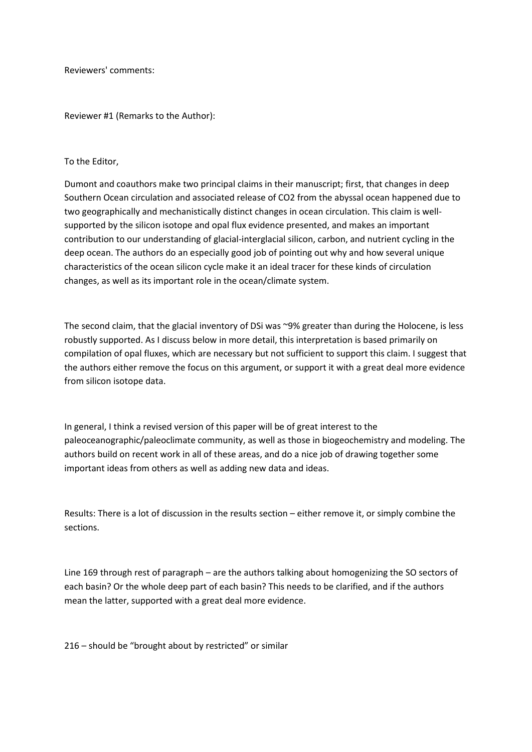Reviewers' comments:

Reviewer #1 (Remarks to the Author):

## To the Editor,

Dumont and coauthors make two principal claims in their manuscript; first, that changes in deep Southern Ocean circulation and associated release of CO2 from the abyssal ocean happened due to two geographically and mechanistically distinct changes in ocean circulation. This claim is wellsupported by the silicon isotope and opal flux evidence presented, and makes an important contribution to our understanding of glacial-interglacial silicon, carbon, and nutrient cycling in the deep ocean. The authors do an especially good job of pointing out why and how several unique characteristics of the ocean silicon cycle make it an ideal tracer for these kinds of circulation changes, as well as its important role in the ocean/climate system.

The second claim, that the glacial inventory of DSi was ~9% greater than during the Holocene, is less robustly supported. As I discuss below in more detail, this interpretation is based primarily on compilation of opal fluxes, which are necessary but not sufficient to support this claim. I suggest that the authors either remove the focus on this argument, or support it with a great deal more evidence from silicon isotope data.

In general, I think a revised version of this paper will be of great interest to the paleoceanographic/paleoclimate community, as well as those in biogeochemistry and modeling. The authors build on recent work in all of these areas, and do a nice job of drawing together some important ideas from others as well as adding new data and ideas.

Results: There is a lot of discussion in the results section – either remove it, or simply combine the sections.

Line 169 through rest of paragraph – are the authors talking about homogenizing the SO sectors of each basin? Or the whole deep part of each basin? This needs to be clarified, and if the authors mean the latter, supported with a great deal more evidence.

216 – should be "brought about by restricted" or similar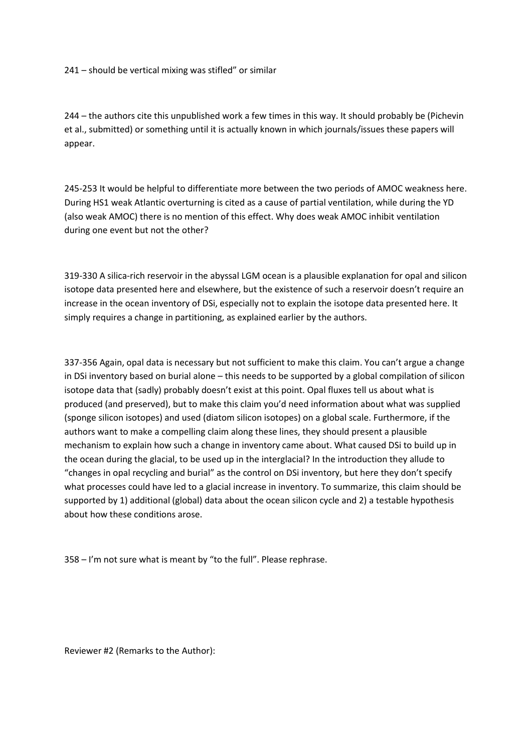241 – should be vertical mixing was stifled" or similar

244 – the authors cite this unpublished work a few times in this way. It should probably be (Pichevin et al., submitted) or something until it is actually known in which journals/issues these papers will appear.

245-253 It would be helpful to differentiate more between the two periods of AMOC weakness here. During HS1 weak Atlantic overturning is cited as a cause of partial ventilation, while during the YD (also weak AMOC) there is no mention of this effect. Why does weak AMOC inhibit ventilation during one event but not the other?

319-330 A silica-rich reservoir in the abyssal LGM ocean is a plausible explanation for opal and silicon isotope data presented here and elsewhere, but the existence of such a reservoir doesn't require an increase in the ocean inventory of DSi, especially not to explain the isotope data presented here. It simply requires a change in partitioning, as explained earlier by the authors.

337-356 Again, opal data is necessary but not sufficient to make this claim. You can't argue a change in DSi inventory based on burial alone – this needs to be supported by a global compilation of silicon isotope data that (sadly) probably doesn't exist at this point. Opal fluxes tell us about what is produced (and preserved), but to make this claim you'd need information about what was supplied (sponge silicon isotopes) and used (diatom silicon isotopes) on a global scale. Furthermore, if the authors want to make a compelling claim along these lines, they should present a plausible mechanism to explain how such a change in inventory came about. What caused DSi to build up in the ocean during the glacial, to be used up in the interglacial? In the introduction they allude to "changes in opal recycling and burial" as the control on DSi inventory, but here they don't specify what processes could have led to a glacial increase in inventory. To summarize, this claim should be supported by 1) additional (global) data about the ocean silicon cycle and 2) a testable hypothesis about how these conditions arose.

358 – I'm not sure what is meant by "to the full". Please rephrase.

Reviewer #2 (Remarks to the Author):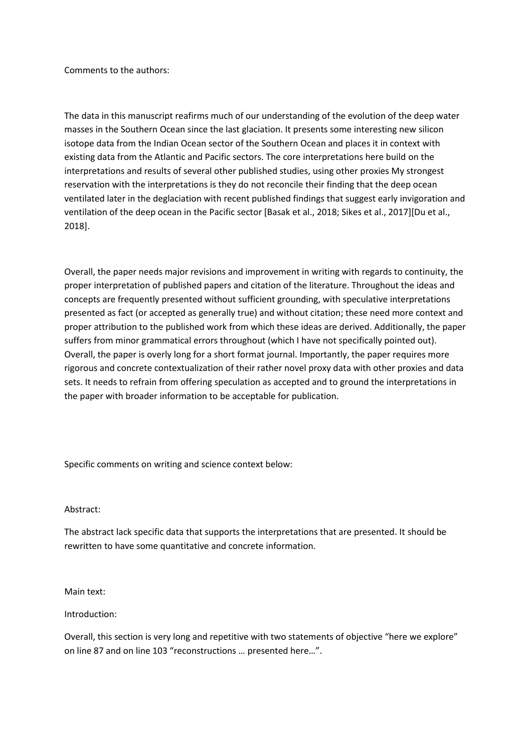Comments to the authors:

The data in this manuscript reafirms much of our understanding of the evolution of the deep water masses in the Southern Ocean since the last glaciation. It presents some interesting new silicon isotope data from the Indian Ocean sector of the Southern Ocean and places it in context with existing data from the Atlantic and Pacific sectors. The core interpretations here build on the interpretations and results of several other published studies, using other proxies My strongest reservation with the interpretations is they do not reconcile their finding that the deep ocean ventilated later in the deglaciation with recent published findings that suggest early invigoration and ventilation of the deep ocean in the Pacific sector [Basak et al., 2018; Sikes et al., 2017][Du et al., 2018].

Overall, the paper needs major revisions and improvement in writing with regards to continuity, the proper interpretation of published papers and citation of the literature. Throughout the ideas and concepts are frequently presented without sufficient grounding, with speculative interpretations presented as fact (or accepted as generally true) and without citation; these need more context and proper attribution to the published work from which these ideas are derived. Additionally, the paper suffers from minor grammatical errors throughout (which I have not specifically pointed out). Overall, the paper is overly long for a short format journal. Importantly, the paper requires more rigorous and concrete contextualization of their rather novel proxy data with other proxies and data sets. It needs to refrain from offering speculation as accepted and to ground the interpretations in the paper with broader information to be acceptable for publication.

Specific comments on writing and science context below:

### Abstract:

The abstract lack specific data that supports the interpretations that are presented. It should be rewritten to have some quantitative and concrete information.

Main text:

Introduction:

Overall, this section is very long and repetitive with two statements of objective "here we explore" on line 87 and on line 103 "reconstructions … presented here…".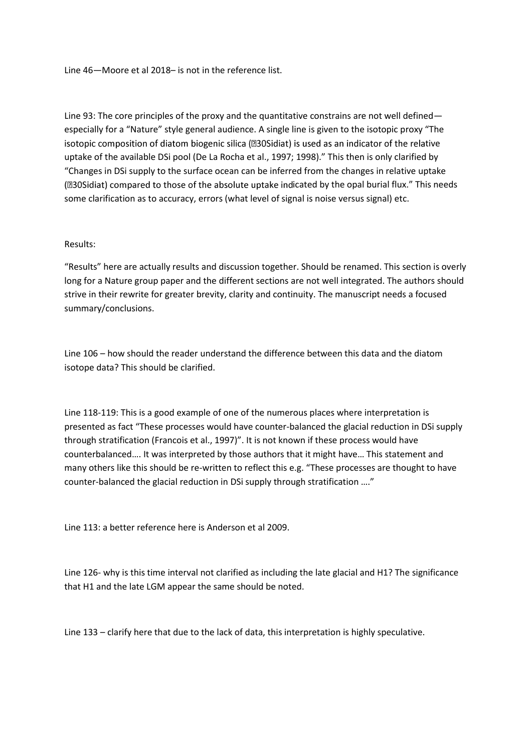Line 46—Moore et al 2018– is not in the reference list.

Line 93: The core principles of the proxy and the quantitative constrains are not well defined especially for a "Nature" style general audience. A single line is given to the isotopic proxy "The isotopic composition of diatom biogenic silica (230Sidiat) is used as an indicator of the relative uptake of the available DSi pool (De La Rocha et al., 1997; 1998)." This then is only clarified by "Changes in DSi supply to the surface ocean can be inferred from the changes in relative uptake (230 Sidiat) compared to those of the absolute uptake indicated by the opal burial flux." This needs some clarification as to accuracy, errors (what level of signal is noise versus signal) etc.

# Results:

"Results" here are actually results and discussion together. Should be renamed. This section is overly long for a Nature group paper and the different sections are not well integrated. The authors should strive in their rewrite for greater brevity, clarity and continuity. The manuscript needs a focused summary/conclusions.

Line 106 – how should the reader understand the difference between this data and the diatom isotope data? This should be clarified.

Line 118-119: This is a good example of one of the numerous places where interpretation is presented as fact "These processes would have counter-balanced the glacial reduction in DSi supply through stratification (Francois et al., 1997)". It is not known if these process would have counterbalanced…. It was interpreted by those authors that it might have… This statement and many others like this should be re-written to reflect this e.g. "These processes are thought to have counter-balanced the glacial reduction in DSi supply through stratification …."

Line 113: a better reference here is Anderson et al 2009.

Line 126- why is this time interval not clarified as including the late glacial and H1? The significance that H1 and the late LGM appear the same should be noted.

Line 133 – clarify here that due to the lack of data, this interpretation is highly speculative.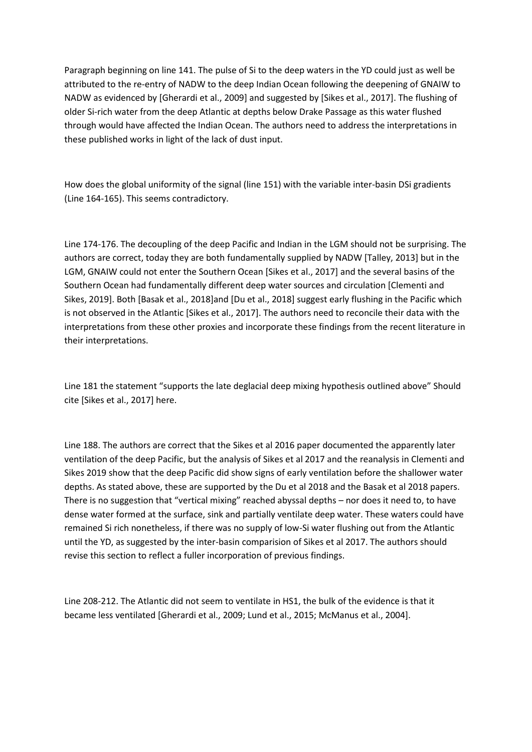Paragraph beginning on line 141. The pulse of Si to the deep waters in the YD could just as well be attributed to the re-entry of NADW to the deep Indian Ocean following the deepening of GNAIW to NADW as evidenced by [Gherardi et al., 2009] and suggested by [Sikes et al., 2017]. The flushing of older Si-rich water from the deep Atlantic at depths below Drake Passage as this water flushed through would have affected the Indian Ocean. The authors need to address the interpretations in these published works in light of the lack of dust input.

How does the global uniformity of the signal (line 151) with the variable inter-basin DSi gradients (Line 164-165). This seems contradictory.

Line 174-176. The decoupling of the deep Pacific and Indian in the LGM should not be surprising. The authors are correct, today they are both fundamentally supplied by NADW [Talley, 2013] but in the LGM, GNAIW could not enter the Southern Ocean [Sikes et al., 2017] and the several basins of the Southern Ocean had fundamentally different deep water sources and circulation [Clementi and Sikes, 2019]. Both [Basak et al., 2018]and [Du et al., 2018] suggest early flushing in the Pacific which is not observed in the Atlantic [Sikes et al., 2017]. The authors need to reconcile their data with the interpretations from these other proxies and incorporate these findings from the recent literature in their interpretations.

Line 181 the statement "supports the late deglacial deep mixing hypothesis outlined above" Should cite [Sikes et al., 2017] here.

Line 188. The authors are correct that the Sikes et al 2016 paper documented the apparently later ventilation of the deep Pacific, but the analysis of Sikes et al 2017 and the reanalysis in Clementi and Sikes 2019 show that the deep Pacific did show signs of early ventilation before the shallower water depths. As stated above, these are supported by the Du et al 2018 and the Basak et al 2018 papers. There is no suggestion that "vertical mixing" reached abyssal depths – nor does it need to, to have dense water formed at the surface, sink and partially ventilate deep water. These waters could have remained Si rich nonetheless, if there was no supply of low-Si water flushing out from the Atlantic until the YD, as suggested by the inter-basin comparision of Sikes et al 2017. The authors should revise this section to reflect a fuller incorporation of previous findings.

Line 208-212. The Atlantic did not seem to ventilate in HS1, the bulk of the evidence is that it became less ventilated [Gherardi et al., 2009; Lund et al., 2015; McManus et al., 2004].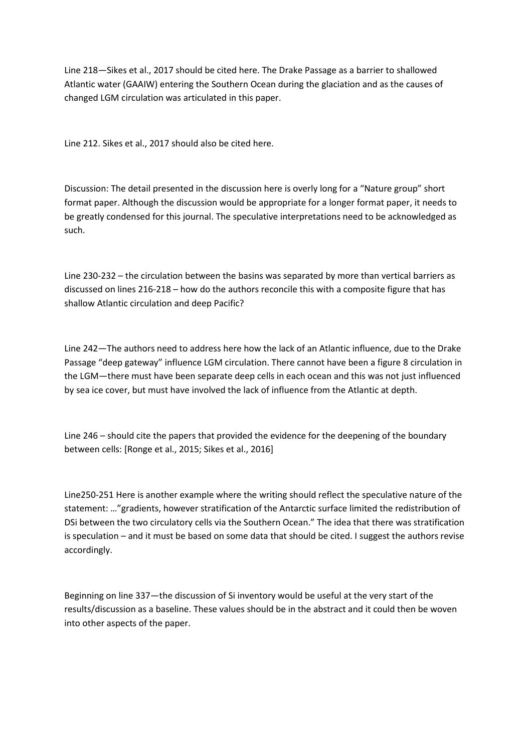Line 218—Sikes et al., 2017 should be cited here. The Drake Passage as a barrier to shallowed Atlantic water (GAAIW) entering the Southern Ocean during the glaciation and as the causes of changed LGM circulation was articulated in this paper.

Line 212. Sikes et al., 2017 should also be cited here.

Discussion: The detail presented in the discussion here is overly long for a "Nature group" short format paper. Although the discussion would be appropriate for a longer format paper, it needs to be greatly condensed for this journal. The speculative interpretations need to be acknowledged as such.

Line 230-232 – the circulation between the basins was separated by more than vertical barriers as discussed on lines 216-218 – how do the authors reconcile this with a composite figure that has shallow Atlantic circulation and deep Pacific?

Line 242—The authors need to address here how the lack of an Atlantic influence, due to the Drake Passage "deep gateway" influence LGM circulation. There cannot have been a figure 8 circulation in the LGM—there must have been separate deep cells in each ocean and this was not just influenced by sea ice cover, but must have involved the lack of influence from the Atlantic at depth.

Line 246 – should cite the papers that provided the evidence for the deepening of the boundary between cells: [Ronge et al., 2015; Sikes et al., 2016]

Line250-251 Here is another example where the writing should reflect the speculative nature of the statement: …"gradients, however stratification of the Antarctic surface limited the redistribution of DSi between the two circulatory cells via the Southern Ocean." The idea that there was stratification is speculation – and it must be based on some data that should be cited. I suggest the authors revise accordingly.

Beginning on line 337—the discussion of Si inventory would be useful at the very start of the results/discussion as a baseline. These values should be in the abstract and it could then be woven into other aspects of the paper.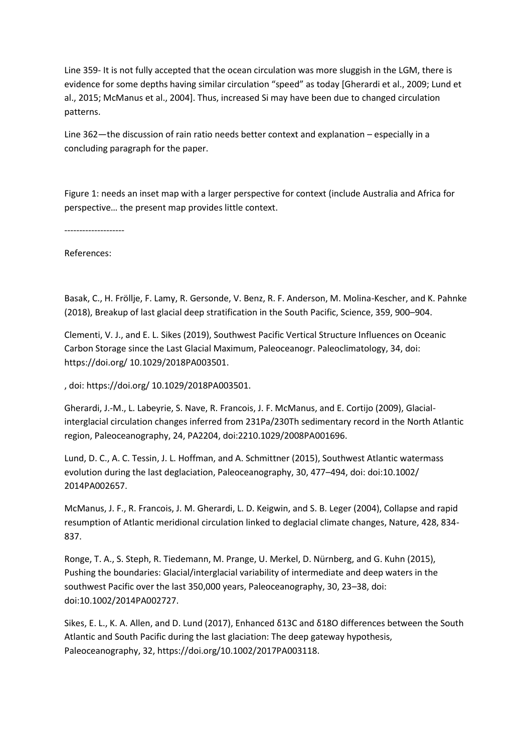Line 359- It is not fully accepted that the ocean circulation was more sluggish in the LGM, there is evidence for some depths having similar circulation "speed" as today [Gherardi et al., 2009; Lund et al., 2015; McManus et al., 2004]. Thus, increased Si may have been due to changed circulation patterns.

Line 362—the discussion of rain ratio needs better context and explanation – especially in a concluding paragraph for the paper.

Figure 1: needs an inset map with a larger perspective for context (include Australia and Africa for perspective… the present map provides little context.

--------------------

References:

Basak, C., H. Fröllje, F. Lamy, R. Gersonde, V. Benz, R. F. Anderson, M. Molina-Kescher, and K. Pahnke (2018), Breakup of last glacial deep stratification in the South Pacific, Science, 359, 900–904.

Clementi, V. J., and E. L. Sikes (2019), Southwest Pacific Vertical Structure Influences on Oceanic Carbon Storage since the Last Glacial Maximum, Paleoceanogr. Paleoclimatology, 34, doi: https://doi.org/ 10.1029/2018PA003501.

, doi: https://doi.org/ 10.1029/2018PA003501.

Gherardi, J.-M., L. Labeyrie, S. Nave, R. Francois, J. F. McManus, and E. Cortijo (2009), Glacialinterglacial circulation changes inferred from 231Pa/230Th sedimentary record in the North Atlantic region, Paleoceanography, 24, PA2204, doi:2210.1029/2008PA001696.

Lund, D. C., A. C. Tessin, J. L. Hoffman, and A. Schmittner (2015), Southwest Atlantic watermass evolution during the last deglaciation, Paleoceanography, 30, 477–494, doi: doi:10.1002/ 2014PA002657.

McManus, J. F., R. Francois, J. M. Gherardi, L. D. Keigwin, and S. B. Leger (2004), Collapse and rapid resumption of Atlantic meridional circulation linked to deglacial climate changes, Nature, 428, 834- 837.

Ronge, T. A., S. Steph, R. Tiedemann, M. Prange, U. Merkel, D. Nürnberg, and G. Kuhn (2015), Pushing the boundaries: Glacial/interglacial variability of intermediate and deep waters in the southwest Pacific over the last 350,000 years, Paleoceanography, 30, 23–38, doi: doi:10.1002/2014PA002727.

Sikes, E. L., K. A. Allen, and D. Lund (2017), Enhanced δ13C and δ18O differences between the South Atlantic and South Pacific during the last glaciation: The deep gateway hypothesis, Paleoceanography, 32, https://doi.org/10.1002/2017PA003118.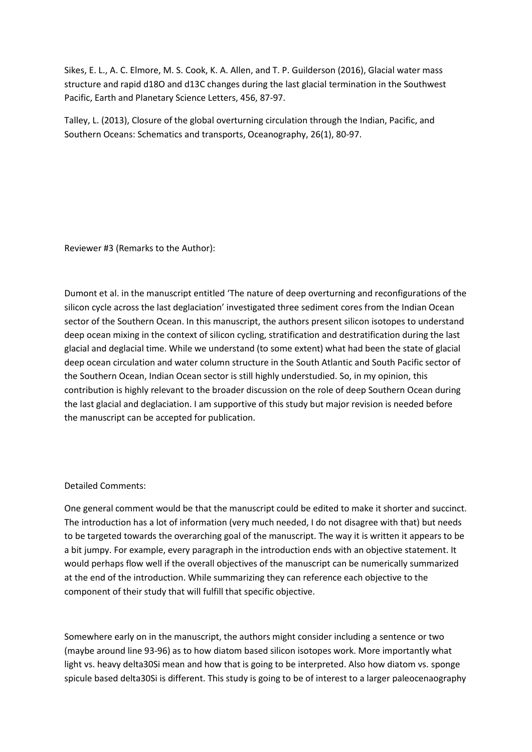Sikes, E. L., A. C. Elmore, M. S. Cook, K. A. Allen, and T. P. Guilderson (2016), Glacial water mass structure and rapid d18O and d13C changes during the last glacial termination in the Southwest Pacific, Earth and Planetary Science Letters, 456, 87-97.

Talley, L. (2013), Closure of the global overturning circulation through the Indian, Pacific, and Southern Oceans: Schematics and transports, Oceanography, 26(1), 80-97.

Reviewer #3 (Remarks to the Author):

Dumont et al. in the manuscript entitled 'The nature of deep overturning and reconfigurations of the silicon cycle across the last deglaciation' investigated three sediment cores from the Indian Ocean sector of the Southern Ocean. In this manuscript, the authors present silicon isotopes to understand deep ocean mixing in the context of silicon cycling, stratification and destratification during the last glacial and deglacial time. While we understand (to some extent) what had been the state of glacial deep ocean circulation and water column structure in the South Atlantic and South Pacific sector of the Southern Ocean, Indian Ocean sector is still highly understudied. So, in my opinion, this contribution is highly relevant to the broader discussion on the role of deep Southern Ocean during the last glacial and deglaciation. I am supportive of this study but major revision is needed before the manuscript can be accepted for publication.

# Detailed Comments:

One general comment would be that the manuscript could be edited to make it shorter and succinct. The introduction has a lot of information (very much needed, I do not disagree with that) but needs to be targeted towards the overarching goal of the manuscript. The way it is written it appears to be a bit jumpy. For example, every paragraph in the introduction ends with an objective statement. It would perhaps flow well if the overall objectives of the manuscript can be numerically summarized at the end of the introduction. While summarizing they can reference each objective to the component of their study that will fulfill that specific objective.

Somewhere early on in the manuscript, the authors might consider including a sentence or two (maybe around line 93-96) as to how diatom based silicon isotopes work. More importantly what light vs. heavy delta30Si mean and how that is going to be interpreted. Also how diatom vs. sponge spicule based delta30Si is different. This study is going to be of interest to a larger paleocenaography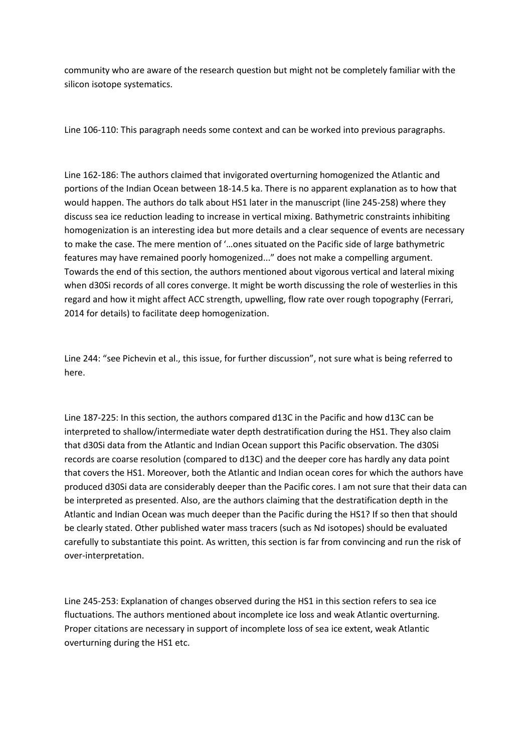community who are aware of the research question but might not be completely familiar with the silicon isotope systematics.

Line 106-110: This paragraph needs some context and can be worked into previous paragraphs.

Line 162-186: The authors claimed that invigorated overturning homogenized the Atlantic and portions of the Indian Ocean between 18-14.5 ka. There is no apparent explanation as to how that would happen. The authors do talk about HS1 later in the manuscript (line 245-258) where they discuss sea ice reduction leading to increase in vertical mixing. Bathymetric constraints inhibiting homogenization is an interesting idea but more details and a clear sequence of events are necessary to make the case. The mere mention of '…ones situated on the Pacific side of large bathymetric features may have remained poorly homogenized..." does not make a compelling argument. Towards the end of this section, the authors mentioned about vigorous vertical and lateral mixing when d30Si records of all cores converge. It might be worth discussing the role of westerlies in this regard and how it might affect ACC strength, upwelling, flow rate over rough topography (Ferrari, 2014 for details) to facilitate deep homogenization.

Line 244: "see Pichevin et al., this issue, for further discussion", not sure what is being referred to here.

Line 187-225: In this section, the authors compared d13C in the Pacific and how d13C can be interpreted to shallow/intermediate water depth destratification during the HS1. They also claim that d30Si data from the Atlantic and Indian Ocean support this Pacific observation. The d30Si records are coarse resolution (compared to d13C) and the deeper core has hardly any data point that covers the HS1. Moreover, both the Atlantic and Indian ocean cores for which the authors have produced d30Si data are considerably deeper than the Pacific cores. I am not sure that their data can be interpreted as presented. Also, are the authors claiming that the destratification depth in the Atlantic and Indian Ocean was much deeper than the Pacific during the HS1? If so then that should be clearly stated. Other published water mass tracers (such as Nd isotopes) should be evaluated carefully to substantiate this point. As written, this section is far from convincing and run the risk of over-interpretation.

Line 245-253: Explanation of changes observed during the HS1 in this section refers to sea ice fluctuations. The authors mentioned about incomplete ice loss and weak Atlantic overturning. Proper citations are necessary in support of incomplete loss of sea ice extent, weak Atlantic overturning during the HS1 etc.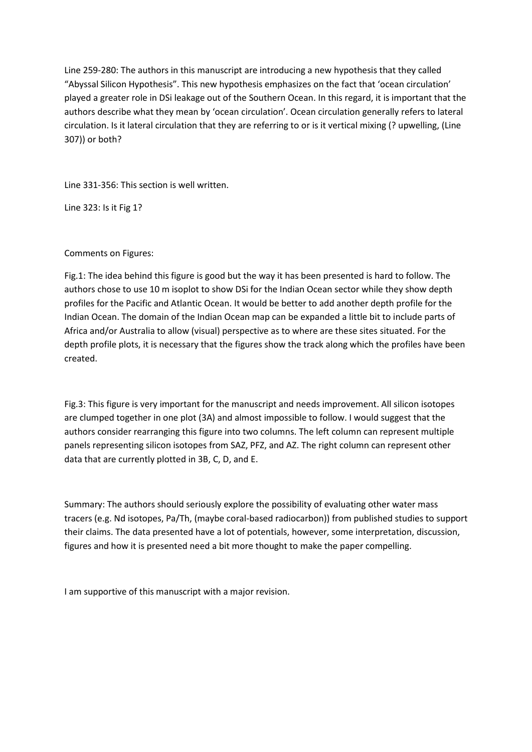Line 259-280: The authors in this manuscript are introducing a new hypothesis that they called "Abyssal Silicon Hypothesis". This new hypothesis emphasizes on the fact that 'ocean circulation' played a greater role in DSi leakage out of the Southern Ocean. In this regard, it is important that the authors describe what they mean by 'ocean circulation'. Ocean circulation generally refers to lateral circulation. Is it lateral circulation that they are referring to or is it vertical mixing (? upwelling, (Line 307)) or both?

Line 331-356: This section is well written.

Line 323: Is it Fig 1?

# Comments on Figures:

Fig.1: The idea behind this figure is good but the way it has been presented is hard to follow. The authors chose to use 10 m isoplot to show DSi for the Indian Ocean sector while they show depth profiles for the Pacific and Atlantic Ocean. It would be better to add another depth profile for the Indian Ocean. The domain of the Indian Ocean map can be expanded a little bit to include parts of Africa and/or Australia to allow (visual) perspective as to where are these sites situated. For the depth profile plots, it is necessary that the figures show the track along which the profiles have been created.

Fig.3: This figure is very important for the manuscript and needs improvement. All silicon isotopes are clumped together in one plot (3A) and almost impossible to follow. I would suggest that the authors consider rearranging this figure into two columns. The left column can represent multiple panels representing silicon isotopes from SAZ, PFZ, and AZ. The right column can represent other data that are currently plotted in 3B, C, D, and E.

Summary: The authors should seriously explore the possibility of evaluating other water mass tracers (e.g. Nd isotopes, Pa/Th, (maybe coral-based radiocarbon)) from published studies to support their claims. The data presented have a lot of potentials, however, some interpretation, discussion, figures and how it is presented need a bit more thought to make the paper compelling.

I am supportive of this manuscript with a major revision.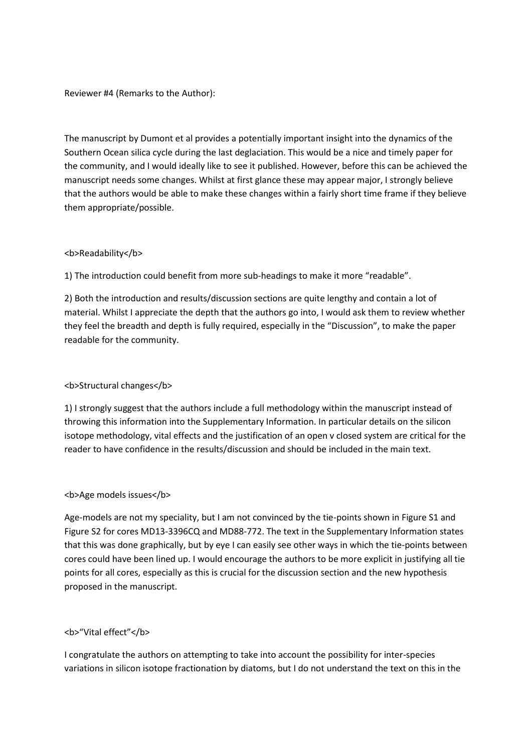# Reviewer #4 (Remarks to the Author):

The manuscript by Dumont et al provides a potentially important insight into the dynamics of the Southern Ocean silica cycle during the last deglaciation. This would be a nice and timely paper for the community, and I would ideally like to see it published. However, before this can be achieved the manuscript needs some changes. Whilst at first glance these may appear major, I strongly believe that the authors would be able to make these changes within a fairly short time frame if they believe them appropriate/possible.

# <b>Readability</b>

1) The introduction could benefit from more sub-headings to make it more "readable".

2) Both the introduction and results/discussion sections are quite lengthy and contain a lot of material. Whilst I appreciate the depth that the authors go into, I would ask them to review whether they feel the breadth and depth is fully required, especially in the "Discussion", to make the paper readable for the community.

# <b>Structural changes</b>

1) I strongly suggest that the authors include a full methodology within the manuscript instead of throwing this information into the Supplementary Information. In particular details on the silicon isotope methodology, vital effects and the justification of an open v closed system are critical for the reader to have confidence in the results/discussion and should be included in the main text.

# **<b>Age models issues</b>**

Age-models are not my speciality, but I am not convinced by the tie-points shown in Figure S1 and Figure S2 for cores MD13-3396CQ and MD88-772. The text in the Supplementary Information states that this was done graphically, but by eye I can easily see other ways in which the tie-points between cores could have been lined up. I would encourage the authors to be more explicit in justifying all tie points for all cores, especially as this is crucial for the discussion section and the new hypothesis proposed in the manuscript.

# <b>"Vital effect"</b>

I congratulate the authors on attempting to take into account the possibility for inter-species variations in silicon isotope fractionation by diatoms, but I do not understand the text on this in the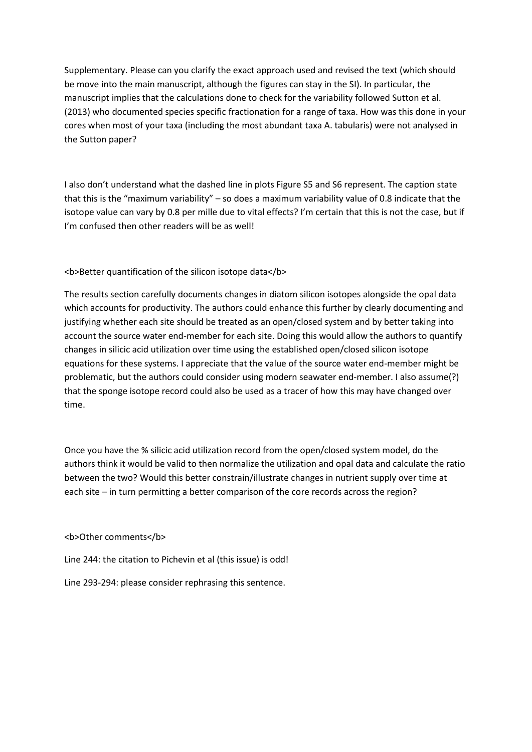Supplementary. Please can you clarify the exact approach used and revised the text (which should be move into the main manuscript, although the figures can stay in the SI). In particular, the manuscript implies that the calculations done to check for the variability followed Sutton et al. (2013) who documented species specific fractionation for a range of taxa. How was this done in your cores when most of your taxa (including the most abundant taxa A. tabularis) were not analysed in the Sutton paper?

I also don't understand what the dashed line in plots Figure S5 and S6 represent. The caption state that this is the "maximum variability" – so does a maximum variability value of 0.8 indicate that the isotope value can vary by 0.8 per mille due to vital effects? I'm certain that this is not the case, but if I'm confused then other readers will be as well!

<b>Better quantification of the silicon isotope data</b>

The results section carefully documents changes in diatom silicon isotopes alongside the opal data which accounts for productivity. The authors could enhance this further by clearly documenting and justifying whether each site should be treated as an open/closed system and by better taking into account the source water end-member for each site. Doing this would allow the authors to quantify changes in silicic acid utilization over time using the established open/closed silicon isotope equations for these systems. I appreciate that the value of the source water end-member might be problematic, but the authors could consider using modern seawater end-member. I also assume(?) that the sponge isotope record could also be used as a tracer of how this may have changed over time.

Once you have the % silicic acid utilization record from the open/closed system model, do the authors think it would be valid to then normalize the utilization and opal data and calculate the ratio between the two? Would this better constrain/illustrate changes in nutrient supply over time at each site – in turn permitting a better comparison of the core records across the region?

# <b>Other comments</b>

Line 244: the citation to Pichevin et al (this issue) is odd!

Line 293-294: please consider rephrasing this sentence.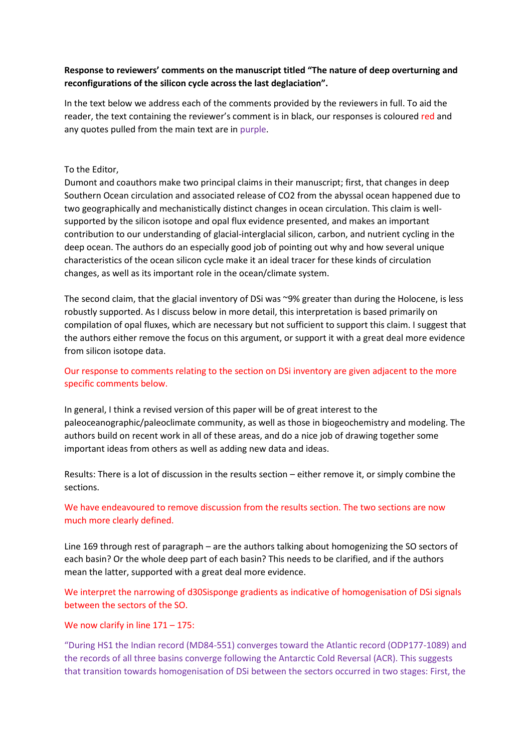# **Response to reviewers' comments on the manuscript titled "The nature of deep overturning and reconfigurations of the silicon cycle across the last deglaciation".**

In the text below we address each of the comments provided by the reviewers in full. To aid the reader, the text containing the reviewer's comment is in black, our responses is coloured red and any quotes pulled from the main text are in purple.

# To the Editor,

Dumont and coauthors make two principal claims in their manuscript; first, that changes in deep Southern Ocean circulation and associated release of CO2 from the abyssal ocean happened due to two geographically and mechanistically distinct changes in ocean circulation. This claim is wellsupported by the silicon isotope and opal flux evidence presented, and makes an important contribution to our understanding of glacial-interglacial silicon, carbon, and nutrient cycling in the deep ocean. The authors do an especially good job of pointing out why and how several unique characteristics of the ocean silicon cycle make it an ideal tracer for these kinds of circulation changes, as well as its important role in the ocean/climate system.

The second claim, that the glacial inventory of DSi was ~9% greater than during the Holocene, is less robustly supported. As I discuss below in more detail, this interpretation is based primarily on compilation of opal fluxes, which are necessary but not sufficient to support this claim. I suggest that the authors either remove the focus on this argument, or support it with a great deal more evidence from silicon isotope data.

# Our response to comments relating to the section on DSi inventory are given adjacent to the more specific comments below.

In general, I think a revised version of this paper will be of great interest to the paleoceanographic/paleoclimate community, as well as those in biogeochemistry and modeling. The authors build on recent work in all of these areas, and do a nice job of drawing together some important ideas from others as well as adding new data and ideas.

Results: There is a lot of discussion in the results section – either remove it, or simply combine the sections.

# We have endeavoured to remove discussion from the results section. The two sections are now much more clearly defined.

Line 169 through rest of paragraph – are the authors talking about homogenizing the SO sectors of each basin? Or the whole deep part of each basin? This needs to be clarified, and if the authors mean the latter, supported with a great deal more evidence.

We interpret the narrowing of d30Sisponge gradients as indicative of homogenisation of DSi signals between the sectors of the SO.

# We now clarify in line  $171 - 175$ :

"During HS1 the Indian record (MD84-551) converges toward the Atlantic record (ODP177-1089) and the records of all three basins converge following the Antarctic Cold Reversal (ACR). This suggests that transition towards homogenisation of DSi between the sectors occurred in two stages: First, the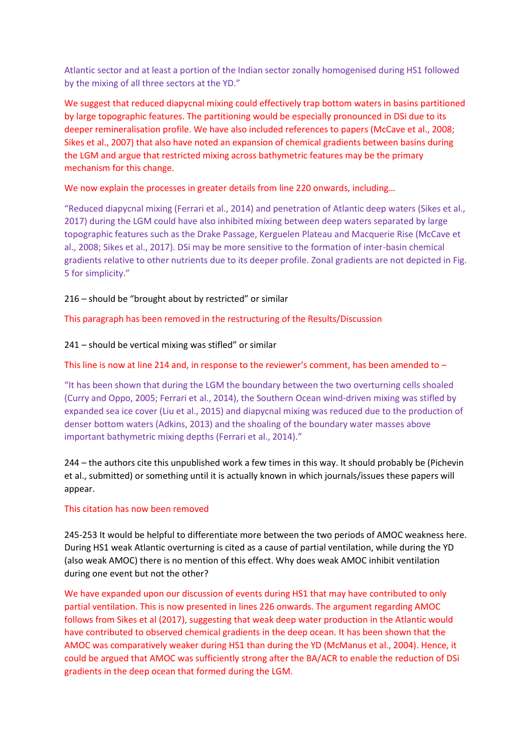Atlantic sector and at least a portion of the Indian sector zonally homogenised during HS1 followed by the mixing of all three sectors at the YD."

We suggest that reduced diapycnal mixing could effectively trap bottom waters in basins partitioned by large topographic features. The partitioning would be especially pronounced in DSi due to its deeper remineralisation profile. We have also included references to papers (McCave et al., 2008; Sikes et al., 2007) that also have noted an expansion of chemical gradients between basins during the LGM and argue that restricted mixing across bathymetric features may be the primary mechanism for this change.

We now explain the processes in greater details from line 220 onwards, including…

"Reduced diapycnal mixing (Ferrari et al., 2014) and penetration of Atlantic deep waters (Sikes et al., 2017) during the LGM could have also inhibited mixing between deep waters separated by large topographic features such as the Drake Passage, Kerguelen Plateau and Macquerie Rise (McCave et al., 2008; Sikes et al., 2017). DSi may be more sensitive to the formation of inter-basin chemical gradients relative to other nutrients due to its deeper profile. Zonal gradients are not depicted in Fig. 5 for simplicity."

216 – should be "brought about by restricted" or similar

This paragraph has been removed in the restructuring of the Results/Discussion

241 – should be vertical mixing was stifled" or similar

This line is now at line 214 and, in response to the reviewer's comment, has been amended to  $-$ 

"It has been shown that during the LGM the boundary between the two overturning cells shoaled (Curry and Oppo, 2005; Ferrari et al., 2014), the Southern Ocean wind-driven mixing was stifled by expanded sea ice cover (Liu et al., 2015) and diapycnal mixing was reduced due to the production of denser bottom waters (Adkins, 2013) and the shoaling of the boundary water masses above important bathymetric mixing depths (Ferrari et al., 2014)."

244 – the authors cite this unpublished work a few times in this way. It should probably be (Pichevin et al., submitted) or something until it is actually known in which journals/issues these papers will appear.

# This citation has now been removed

245-253 It would be helpful to differentiate more between the two periods of AMOC weakness here. During HS1 weak Atlantic overturning is cited as a cause of partial ventilation, while during the YD (also weak AMOC) there is no mention of this effect. Why does weak AMOC inhibit ventilation during one event but not the other?

We have expanded upon our discussion of events during HS1 that may have contributed to only partial ventilation. This is now presented in lines 226 onwards. The argument regarding AMOC follows from Sikes et al (2017), suggesting that weak deep water production in the Atlantic would have contributed to observed chemical gradients in the deep ocean. It has been shown that the AMOC was comparatively weaker during HS1 than during the YD (McManus et al., 2004). Hence, it could be argued that AMOC was sufficiently strong after the BA/ACR to enable the reduction of DSi gradients in the deep ocean that formed during the LGM.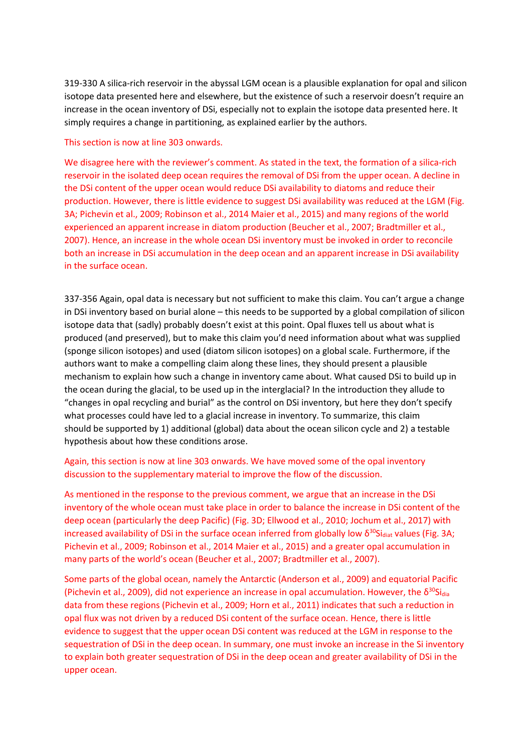319-330 A silica-rich reservoir in the abyssal LGM ocean is a plausible explanation for opal and silicon isotope data presented here and elsewhere, but the existence of such a reservoir doesn't require an increase in the ocean inventory of DSi, especially not to explain the isotope data presented here. It simply requires a change in partitioning, as explained earlier by the authors.

## This section is now at line 303 onwards.

We disagree here with the reviewer's comment. As stated in the text, the formation of a silica-rich reservoir in the isolated deep ocean requires the removal of DSi from the upper ocean. A decline in the DSi content of the upper ocean would reduce DSi availability to diatoms and reduce their production. However, there is little evidence to suggest DSi availability was reduced at the LGM (Fig. 3A; Pichevin et al., 2009; Robinson et al., 2014 Maier et al., 2015) and many regions of the world experienced an apparent increase in diatom production (Beucher et al., 2007; Bradtmiller et al., 2007). Hence, an increase in the whole ocean DSi inventory must be invoked in order to reconcile both an increase in DSi accumulation in the deep ocean and an apparent increase in DSi availability in the surface ocean.

337-356 Again, opal data is necessary but not sufficient to make this claim. You can't argue a change in DSi inventory based on burial alone – this needs to be supported by a global compilation of silicon isotope data that (sadly) probably doesn't exist at this point. Opal fluxes tell us about what is produced (and preserved), but to make this claim you'd need information about what was supplied (sponge silicon isotopes) and used (diatom silicon isotopes) on a global scale. Furthermore, if the authors want to make a compelling claim along these lines, they should present a plausible mechanism to explain how such a change in inventory came about. What caused DSi to build up in the ocean during the glacial, to be used up in the interglacial? In the introduction they allude to "changes in opal recycling and burial" as the control on DSi inventory, but here they don't specify what processes could have led to a glacial increase in inventory. To summarize, this claim should be supported by 1) additional (global) data about the ocean silicon cycle and 2) a testable hypothesis about how these conditions arose.

# Again, this section is now at line 303 onwards. We have moved some of the opal inventory discussion to the supplementary material to improve the flow of the discussion.

As mentioned in the response to the previous comment, we argue that an increase in the DSi inventory of the whole ocean must take place in order to balance the increase in DSi content of the deep ocean (particularly the deep Pacific) (Fig. 3D; Ellwood et al., 2010; Jochum et al., 2017) with increased availability of DSi in the surface ocean inferred from globally low  $\delta^{30}$ Si<sub>diat</sub> values (Fig. 3A; Pichevin et al., 2009; Robinson et al., 2014 Maier et al., 2015) and a greater opal accumulation in many parts of the world's ocean (Beucher et al., 2007; Bradtmiller et al., 2007).

Some parts of the global ocean, namely the Antarctic (Anderson et al., 2009) and equatorial Pacific (Pichevin et al., 2009), did not experience an increase in opal accumulation. However, the  $\delta^{30}$ Sidia data from these regions (Pichevin et al., 2009; Horn et al., 2011) indicates that such a reduction in opal flux was not driven by a reduced DSi content of the surface ocean. Hence, there is little evidence to suggest that the upper ocean DSi content was reduced at the LGM in response to the sequestration of DSi in the deep ocean. In summary, one must invoke an increase in the Si inventory to explain both greater sequestration of DSi in the deep ocean and greater availability of DSi in the upper ocean.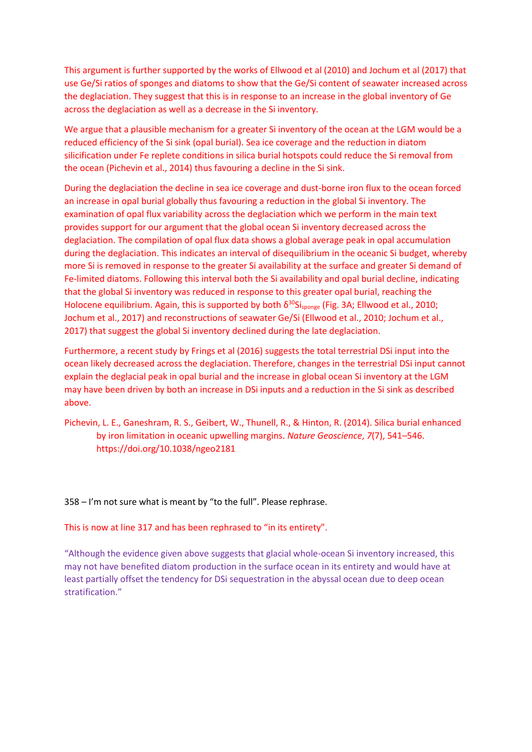This argument is further supported by the works of Ellwood et al (2010) and Jochum et al (2017) that use Ge/Si ratios of sponges and diatoms to show that the Ge/Si content of seawater increased across the deglaciation. They suggest that this is in response to an increase in the global inventory of Ge across the deglaciation as well as a decrease in the Si inventory.

We argue that a plausible mechanism for a greater Si inventory of the ocean at the LGM would be a reduced efficiency of the Si sink (opal burial). Sea ice coverage and the reduction in diatom silicification under Fe replete conditions in silica burial hotspots could reduce the Si removal from the ocean (Pichevin et al., 2014) thus favouring a decline in the Si sink.

During the deglaciation the decline in sea ice coverage and dust-borne iron flux to the ocean forced an increase in opal burial globally thus favouring a reduction in the global Si inventory. The examination of opal flux variability across the deglaciation which we perform in the main text provides support for our argument that the global ocean Si inventory decreased across the deglaciation. The compilation of opal flux data shows a global average peak in opal accumulation during the deglaciation. This indicates an interval of disequilibrium in the oceanic Si budget, whereby more Si is removed in response to the greater Si availability at the surface and greater Si demand of Fe-limited diatoms. Following this interval both the Si availability and opal burial decline, indicating that the global Si inventory was reduced in response to this greater opal burial, reaching the Holocene equilibrium. Again, this is supported by both  $\delta^{30}$ Si<sub>sponge</sub> (Fig. 3A; Ellwood et al., 2010; Jochum et al., 2017) and reconstructions of seawater Ge/Si (Ellwood et al., 2010; Jochum et al., 2017) that suggest the global Si inventory declined during the late deglaciation.

Furthermore, a recent study by Frings et al (2016) suggests the total terrestrial DSi input into the ocean likely decreased across the deglaciation. Therefore, changes in the terrestrial DSi input cannot explain the deglacial peak in opal burial and the increase in global ocean Si inventory at the LGM may have been driven by both an increase in DSi inputs and a reduction in the Si sink as described above.

Pichevin, L. E., Ganeshram, R. S., Geibert, W., Thunell, R., & Hinton, R. (2014). Silica burial enhanced by iron limitation in oceanic upwelling margins. *Nature Geoscience*, *7*(7), 541–546. https://doi.org/10.1038/ngeo2181

358 – I'm not sure what is meant by "to the full". Please rephrase.

This is now at line 317 and has been rephrased to "in its entirety".

"Although the evidence given above suggests that glacial whole-ocean Si inventory increased, this may not have benefited diatom production in the surface ocean in its entirety and would have at least partially offset the tendency for DSi sequestration in the abyssal ocean due to deep ocean stratification."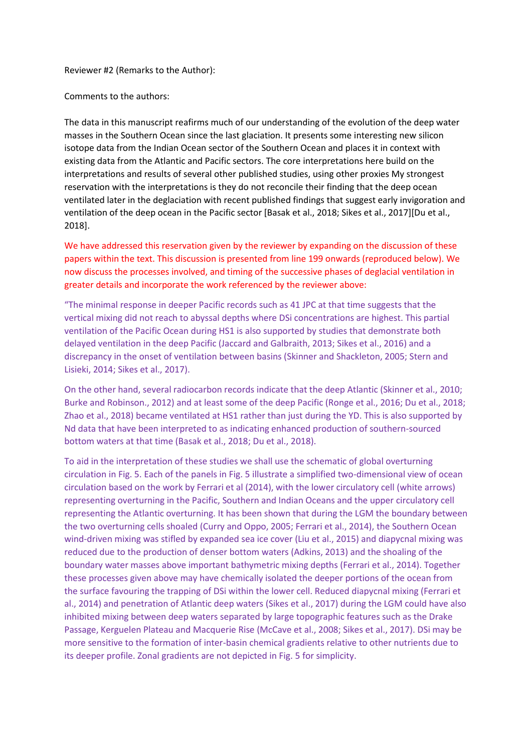### Reviewer #2 (Remarks to the Author):

Comments to the authors:

The data in this manuscript reafirms much of our understanding of the evolution of the deep water masses in the Southern Ocean since the last glaciation. It presents some interesting new silicon isotope data from the Indian Ocean sector of the Southern Ocean and places it in context with existing data from the Atlantic and Pacific sectors. The core interpretations here build on the interpretations and results of several other published studies, using other proxies My strongest reservation with the interpretations is they do not reconcile their finding that the deep ocean ventilated later in the deglaciation with recent published findings that suggest early invigoration and ventilation of the deep ocean in the Pacific sector [Basak et al., 2018; Sikes et al., 2017][Du et al., 2018].

We have addressed this reservation given by the reviewer by expanding on the discussion of these papers within the text. This discussion is presented from line 199 onwards (reproduced below). We now discuss the processes involved, and timing of the successive phases of deglacial ventilation in greater details and incorporate the work referenced by the reviewer above:

"The minimal response in deeper Pacific records such as 41 JPC at that time suggests that the vertical mixing did not reach to abyssal depths where DSi concentrations are highest. This partial ventilation of the Pacific Ocean during HS1 is also supported by studies that demonstrate both delayed ventilation in the deep Pacific (Jaccard and Galbraith, 2013; Sikes et al., 2016) and a discrepancy in the onset of ventilation between basins (Skinner and Shackleton, 2005; Stern and Lisieki, 2014; Sikes et al., 2017).

On the other hand, several radiocarbon records indicate that the deep Atlantic (Skinner et al., 2010; Burke and Robinson., 2012) and at least some of the deep Pacific (Ronge et al., 2016; Du et al., 2018; Zhao et al., 2018) became ventilated at HS1 rather than just during the YD. This is also supported by Nd data that have been interpreted to as indicating enhanced production of southern-sourced bottom waters at that time (Basak et al., 2018; Du et al., 2018).

To aid in the interpretation of these studies we shall use the schematic of global overturning circulation in Fig. 5. Each of the panels in Fig. 5 illustrate a simplified two-dimensional view of ocean circulation based on the work by Ferrari et al (2014), with the lower circulatory cell (white arrows) representing overturning in the Pacific, Southern and Indian Oceans and the upper circulatory cell representing the Atlantic overturning. It has been shown that during the LGM the boundary between the two overturning cells shoaled (Curry and Oppo, 2005; Ferrari et al., 2014), the Southern Ocean wind-driven mixing was stifled by expanded sea ice cover (Liu et al., 2015) and diapycnal mixing was reduced due to the production of denser bottom waters (Adkins, 2013) and the shoaling of the boundary water masses above important bathymetric mixing depths (Ferrari et al., 2014). Together these processes given above may have chemically isolated the deeper portions of the ocean from the surface favouring the trapping of DSi within the lower cell. Reduced diapycnal mixing (Ferrari et al., 2014) and penetration of Atlantic deep waters (Sikes et al., 2017) during the LGM could have also inhibited mixing between deep waters separated by large topographic features such as the Drake Passage, Kerguelen Plateau and Macquerie Rise (McCave et al., 2008; Sikes et al., 2017). DSi may be more sensitive to the formation of inter-basin chemical gradients relative to other nutrients due to its deeper profile. Zonal gradients are not depicted in Fig. 5 for simplicity.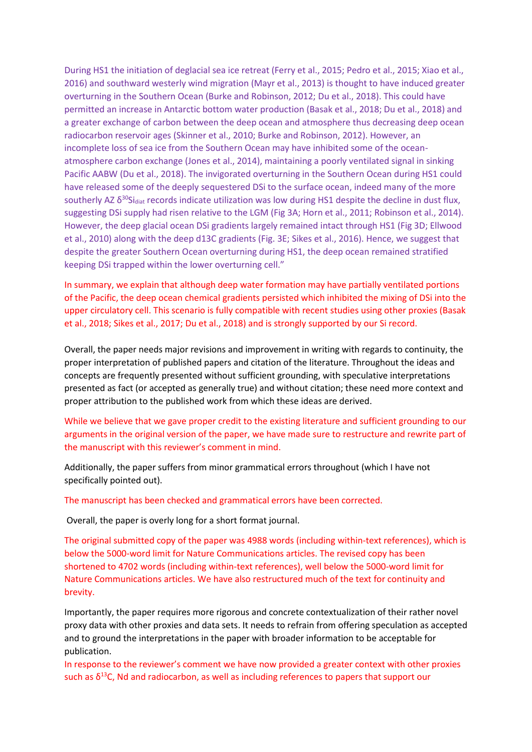During HS1 the initiation of deglacial sea ice retreat (Ferry et al., 2015; Pedro et al., 2015; Xiao et al., 2016) and southward westerly wind migration (Mayr et al., 2013) is thought to have induced greater overturning in the Southern Ocean (Burke and Robinson, 2012; Du et al., 2018). This could have permitted an increase in Antarctic bottom water production (Basak et al., 2018; Du et al., 2018) and a greater exchange of carbon between the deep ocean and atmosphere thus decreasing deep ocean radiocarbon reservoir ages (Skinner et al., 2010; Burke and Robinson, 2012). However, an incomplete loss of sea ice from the Southern Ocean may have inhibited some of the oceanatmosphere carbon exchange (Jones et al., 2014), maintaining a poorly ventilated signal in sinking Pacific AABW (Du et al., 2018). The invigorated overturning in the Southern Ocean during HS1 could have released some of the deeply sequestered DSi to the surface ocean, indeed many of the more southerly AZ  $\delta^{30}$ Si<sub>diat</sub> records indicate utilization was low during HS1 despite the decline in dust flux, suggesting DSi supply had risen relative to the LGM (Fig 3A; Horn et al., 2011; Robinson et al., 2014). However, the deep glacial ocean DSi gradients largely remained intact through HS1 (Fig 3D; Ellwood et al., 2010) along with the deep d13C gradients (Fig. 3E; Sikes et al., 2016). Hence, we suggest that despite the greater Southern Ocean overturning during HS1, the deep ocean remained stratified keeping DSi trapped within the lower overturning cell."

In summary, we explain that although deep water formation may have partially ventilated portions of the Pacific, the deep ocean chemical gradients persisted which inhibited the mixing of DSi into the upper circulatory cell. This scenario is fully compatible with recent studies using other proxies (Basak et al., 2018; Sikes et al., 2017; Du et al., 2018) and is strongly supported by our Si record.

Overall, the paper needs major revisions and improvement in writing with regards to continuity, the proper interpretation of published papers and citation of the literature. Throughout the ideas and concepts are frequently presented without sufficient grounding, with speculative interpretations presented as fact (or accepted as generally true) and without citation; these need more context and proper attribution to the published work from which these ideas are derived.

While we believe that we gave proper credit to the existing literature and sufficient grounding to our arguments in the original version of the paper, we have made sure to restructure and rewrite part of the manuscript with this reviewer's comment in mind.

Additionally, the paper suffers from minor grammatical errors throughout (which I have not specifically pointed out).

The manuscript has been checked and grammatical errors have been corrected.

Overall, the paper is overly long for a short format journal.

The original submitted copy of the paper was 4988 words (including within-text references), which is below the 5000-word limit for Nature Communications articles. The revised copy has been shortened to 4702 words (including within-text references), well below the 5000-word limit for Nature Communications articles. We have also restructured much of the text for continuity and brevity.

Importantly, the paper requires more rigorous and concrete contextualization of their rather novel proxy data with other proxies and data sets. It needs to refrain from offering speculation as accepted and to ground the interpretations in the paper with broader information to be acceptable for publication.

In response to the reviewer's comment we have now provided a greater context with other proxies such as  $\delta^{13}$ C, Nd and radiocarbon, as well as including references to papers that support our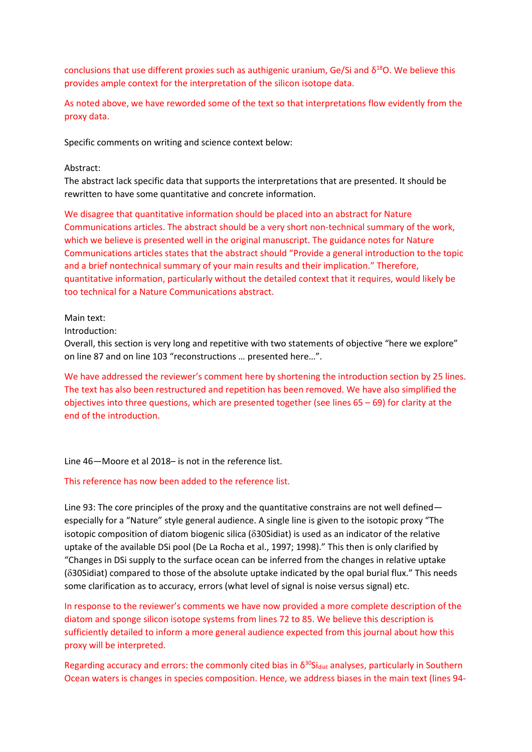conclusions that use different proxies such as authigenic uranium, Ge/Si and  $\delta^{18}O$ . We believe this provides ample context for the interpretation of the silicon isotope data.

As noted above, we have reworded some of the text so that interpretations flow evidently from the proxy data.

Specific comments on writing and science context below:

### Abstract:

The abstract lack specific data that supports the interpretations that are presented. It should be rewritten to have some quantitative and concrete information.

We disagree that quantitative information should be placed into an abstract for Nature Communications articles. The abstract should be a very short non-technical summary of the work, which we believe is presented well in the original manuscript. The guidance notes for Nature Communications articles states that the abstract should "Provide a general introduction to the topic and a brief nontechnical summary of your main results and their implication." Therefore, quantitative information, particularly without the detailed context that it requires, would likely be too technical for a Nature Communications abstract.

Main text:

Introduction:

Overall, this section is very long and repetitive with two statements of objective "here we explore" on line 87 and on line 103 "reconstructions … presented here…".

We have addressed the reviewer's comment here by shortening the introduction section by 25 lines. The text has also been restructured and repetition has been removed. We have also simplified the objectives into three questions, which are presented together (see lines 65 – 69) for clarity at the end of the introduction.

# Line 46—Moore et al 2018– is not in the reference list.

### This reference has now been added to the reference list.

Line 93: The core principles of the proxy and the quantitative constrains are not well defined especially for a "Nature" style general audience. A single line is given to the isotopic proxy "The isotopic composition of diatom biogenic silica ( $\delta$ 30Sidiat) is used as an indicator of the relative uptake of the available DSi pool (De La Rocha et al., 1997; 1998)." This then is only clarified by "Changes in DSi supply to the surface ocean can be inferred from the changes in relative uptake (30Sidiat) compared to those of the absolute uptake indicated by the opal burial flux." This needs some clarification as to accuracy, errors (what level of signal is noise versus signal) etc.

In response to the reviewer's comments we have now provided a more complete description of the diatom and sponge silicon isotope systems from lines 72 to 85. We believe this description is sufficiently detailed to inform a more general audience expected from this journal about how this proxy will be interpreted.

Regarding accuracy and errors: the commonly cited bias in  $\delta^{30}$ Si<sub>diat</sub> analyses, particularly in Southern Ocean waters is changes in species composition. Hence, we address biases in the main text (lines 94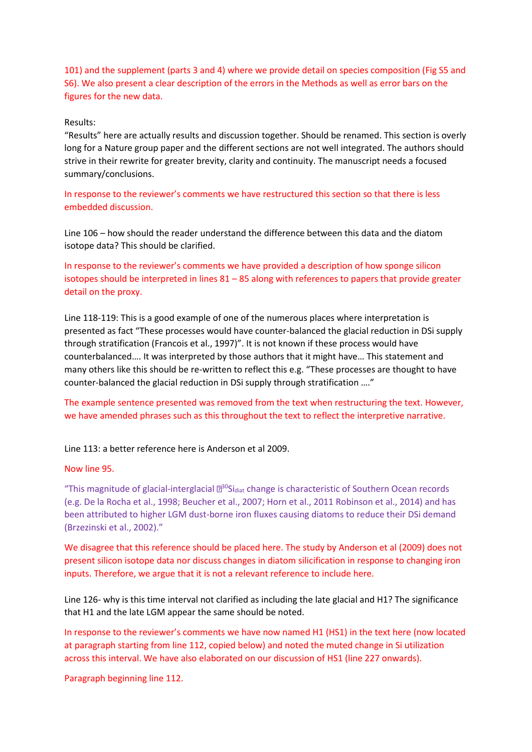101) and the supplement (parts 3 and 4) where we provide detail on species composition (Fig S5 and S6). We also present a clear description of the errors in the Methods as well as error bars on the figures for the new data.

### Results:

"Results" here are actually results and discussion together. Should be renamed. This section is overly long for a Nature group paper and the different sections are not well integrated. The authors should strive in their rewrite for greater brevity, clarity and continuity. The manuscript needs a focused summary/conclusions.

In response to the reviewer's comments we have restructured this section so that there is less embedded discussion.

Line 106 – how should the reader understand the difference between this data and the diatom isotope data? This should be clarified.

In response to the reviewer's comments we have provided a description of how sponge silicon isotopes should be interpreted in lines  $81 - 85$  along with references to papers that provide greater detail on the proxy.

Line 118-119: This is a good example of one of the numerous places where interpretation is presented as fact "These processes would have counter-balanced the glacial reduction in DSi supply through stratification (Francois et al., 1997)". It is not known if these process would have counterbalanced…. It was interpreted by those authors that it might have… This statement and many others like this should be re-written to reflect this e.g. "These processes are thought to have counter-balanced the glacial reduction in DSi supply through stratification …."

The example sentence presented was removed from the text when restructuring the text. However, we have amended phrases such as this throughout the text to reflect the interpretive narrative.

Line 113: a better reference here is Anderson et al 2009.

Now line 95.

"This magnitude of glacial-interglacial  $\mathbb{B}^{30}$ Si<sub>diat</sub> change is characteristic of Southern Ocean records (e.g. De la Rocha et al., 1998; Beucher et al., 2007; Horn et al., 2011 Robinson et al., 2014) and has been attributed to higher LGM dust-borne iron fluxes causing diatoms to reduce their DSi demand (Brzezinski et al., 2002)."

We disagree that this reference should be placed here. The study by Anderson et al (2009) does not present silicon isotope data nor discuss changes in diatom silicification in response to changing iron inputs. Therefore, we argue that it is not a relevant reference to include here.

Line 126- why is this time interval not clarified as including the late glacial and H1? The significance that H1 and the late LGM appear the same should be noted.

In response to the reviewer's comments we have now named H1 (HS1) in the text here (now located at paragraph starting from line 112, copied below) and noted the muted change in Si utilization across this interval. We have also elaborated on our discussion of HS1 (line 227 onwards).

Paragraph beginning line 112.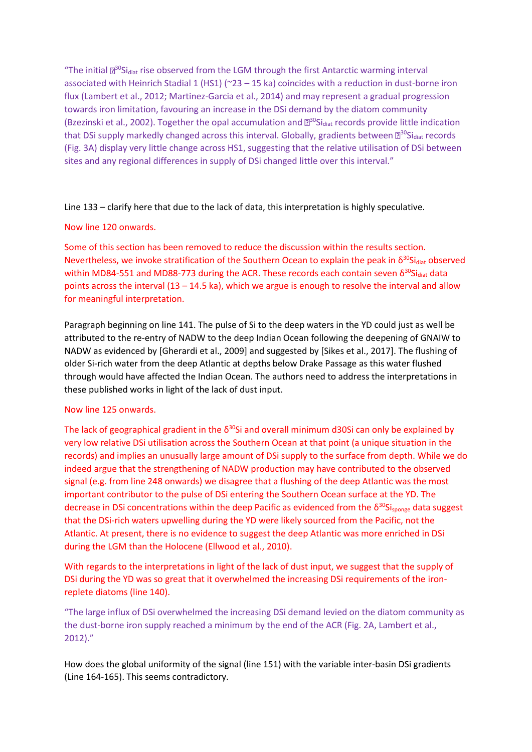"The initial  $\mathbb{B}^{30}$ Si<sub>diat</sub> rise observed from the LGM through the first Antarctic warming interval associated with Heinrich Stadial 1 (HS1) (~23 – 15 ka) coincides with a reduction in dust-borne iron flux (Lambert et al., 2012; Martinez-Garcia et al., 2014) and may represent a gradual progression towards iron limitation, favouring an increase in the DSi demand by the diatom community (Bzezinski et al., 2002). Together the opal accumulation and  $\mathbb{B}^{30}$ Sidiat records provide little indication that DSi supply markedly changed across this interval. Globally, gradients between  $\mathbb{Z}^{30}$ Si<sub>diat</sub> records (Fig. 3A) display very little change across HS1, suggesting that the relative utilisation of DSi between sites and any regional differences in supply of DSi changed little over this interval."

Line 133 – clarify here that due to the lack of data, this interpretation is highly speculative.

# Now line 120 onwards.

Some of this section has been removed to reduce the discussion within the results section. Nevertheless, we invoke stratification of the Southern Ocean to explain the peak in  $\delta^{30}$ Sidiat observed within MD84-551 and MD88-773 during the ACR. These records each contain seven  $\delta^{30}$ Si<sub>diat</sub> data points across the interval (13 – 14.5 ka), which we argue is enough to resolve the interval and allow for meaningful interpretation.

Paragraph beginning on line 141. The pulse of Si to the deep waters in the YD could just as well be attributed to the re-entry of NADW to the deep Indian Ocean following the deepening of GNAIW to NADW as evidenced by [Gherardi et al., 2009] and suggested by [Sikes et al., 2017]. The flushing of older Si-rich water from the deep Atlantic at depths below Drake Passage as this water flushed through would have affected the Indian Ocean. The authors need to address the interpretations in these published works in light of the lack of dust input.

# Now line 125 onwards.

The lack of geographical gradient in the  $\delta^{30}$ Si and overall minimum d30Si can only be explained by very low relative DSi utilisation across the Southern Ocean at that point (a unique situation in the records) and implies an unusually large amount of DSi supply to the surface from depth. While we do indeed argue that the strengthening of NADW production may have contributed to the observed signal (e.g. from line 248 onwards) we disagree that a flushing of the deep Atlantic was the most important contributor to the pulse of DSi entering the Southern Ocean surface at the YD. The decrease in DSi concentrations within the deep Pacific as evidenced from the  $\delta^{30}Si_{\text{sponge}}$  data suggest that the DSi-rich waters upwelling during the YD were likely sourced from the Pacific, not the Atlantic. At present, there is no evidence to suggest the deep Atlantic was more enriched in DSi during the LGM than the Holocene (Ellwood et al., 2010).

With regards to the interpretations in light of the lack of dust input, we suggest that the supply of DSi during the YD was so great that it overwhelmed the increasing DSi requirements of the ironreplete diatoms (line 140).

"The large influx of DSi overwhelmed the increasing DSi demand levied on the diatom community as the dust-borne iron supply reached a minimum by the end of the ACR (Fig. 2A, Lambert et al., 2012)."

How does the global uniformity of the signal (line 151) with the variable inter-basin DSi gradients (Line 164-165). This seems contradictory.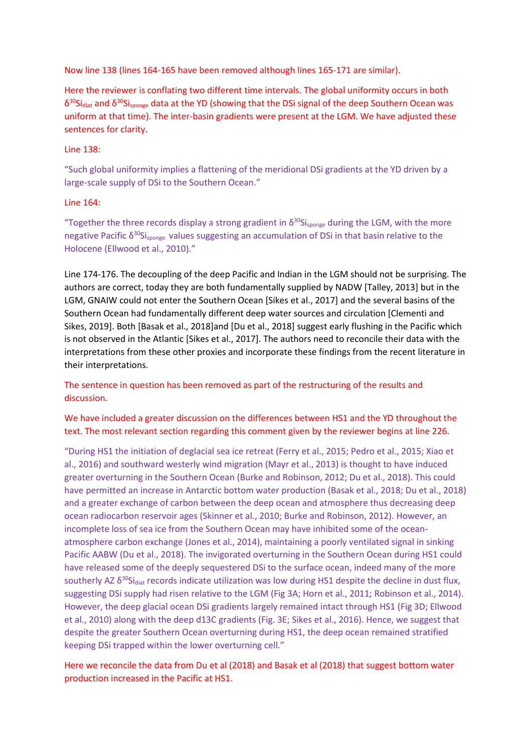Now line 138 (lines 164-165 have been removed although lines 165-171 are similar).

Here the reviewer is conflating two different time intervals. The global uniformity occurs in both  $\delta^{30}$ Si<sub>diat</sub> and  $\delta^{30}$ Si<sub>sponge</sub> data at the YD (showing that the DSi signal of the deep Southern Ocean was uniform at that time). The inter-basin gradients were present at the LGM. We have adjusted these sentences for clarity.

# Line 138:

"Such global uniformity implies a flattening of the meridional DSi gradients at the YD driven by a large-scale supply of DSi to the Southern Ocean."

# Line 164:

"Together the three records display a strong gradient in  $\delta^{30}$ Si<sub>sponge</sub> during the LGM, with the more negative Pacific  $\delta^{30}$ Si<sub>sponge</sub> values suggesting an accumulation of DSi in that basin relative to the Holocene (Ellwood et al., 2010)."

Line 174-176. The decoupling of the deep Pacific and Indian in the LGM should not be surprising. The authors are correct, today they are both fundamentally supplied by NADW [Talley, 2013] but in the LGM, GNAIW could not enter the Southern Ocean [Sikes et al., 2017] and the several basins of the Southern Ocean had fundamentally different deep water sources and circulation [Clementi and Sikes, 2019]. Both [Basak et al., 2018]and [Du et al., 2018] suggest early flushing in the Pacific which is not observed in the Atlantic [Sikes et al., 2017]. The authors need to reconcile their data with the interpretations from these other proxies and incorporate these findings from the recent literature in their interpretations.

The sentence in question has been removed as part of the restructuring of the results and discussion.

# We have included a greater discussion on the differences between HS1 and the YD throughout the text. The most relevant section regarding this comment given by the reviewer begins at line 226.

"During HS1 the initiation of deglacial sea ice retreat (Ferry et al., 2015; Pedro et al., 2015; Xiao et al., 2016) and southward westerly wind migration (Mayr et al., 2013) is thought to have induced greater overturning in the Southern Ocean (Burke and Robinson, 2012; Du et al., 2018). This could have permitted an increase in Antarctic bottom water production (Basak et al., 2018; Du et al., 2018) and a greater exchange of carbon between the deep ocean and atmosphere thus decreasing deep ocean radiocarbon reservoir ages (Skinner et al., 2010; Burke and Robinson, 2012). However, an incomplete loss of sea ice from the Southern Ocean may have inhibited some of the oceanatmosphere carbon exchange (Jones et al., 2014), maintaining a poorly ventilated signal in sinking Pacific AABW (Du et al., 2018). The invigorated overturning in the Southern Ocean during HS1 could have released some of the deeply sequestered DSi to the surface ocean, indeed many of the more southerly AZ  $\delta^{30}$ Si<sub>diat</sub> records indicate utilization was low during HS1 despite the decline in dust flux, suggesting DSi supply had risen relative to the LGM (Fig 3A; Horn et al., 2011; Robinson et al., 2014). However, the deep glacial ocean DSi gradients largely remained intact through HS1 (Fig 3D; Ellwood et al., 2010) along with the deep d13C gradients (Fig. 3E; Sikes et al., 2016). Hence, we suggest that despite the greater Southern Ocean overturning during HS1, the deep ocean remained stratified keeping DSi trapped within the lower overturning cell."

Here we reconcile the data from Du et al (2018) and Basak et al (2018) that suggest bottom water production increased in the Pacific at HS1.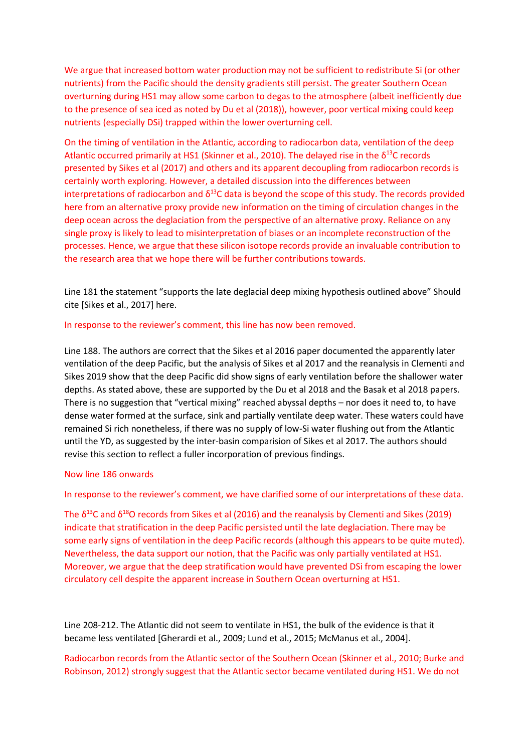We argue that increased bottom water production may not be sufficient to redistribute Si (or other nutrients) from the Pacific should the density gradients still persist. The greater Southern Ocean overturning during HS1 may allow some carbon to degas to the atmosphere (albeit inefficiently due to the presence of sea iced as noted by Du et al (2018)), however, poor vertical mixing could keep nutrients (especially DSi) trapped within the lower overturning cell.

On the timing of ventilation in the Atlantic, according to radiocarbon data, ventilation of the deep Atlantic occurred primarily at HS1 (Skinner et al., 2010). The delayed rise in the  $\delta^{13}$ C records presented by Sikes et al (2017) and others and its apparent decoupling from radiocarbon records is certainly worth exploring. However, a detailed discussion into the differences between interpretations of radiocarbon and  $\delta^{13}$ C data is beyond the scope of this study. The records provided here from an alternative proxy provide new information on the timing of circulation changes in the deep ocean across the deglaciation from the perspective of an alternative proxy. Reliance on any single proxy is likely to lead to misinterpretation of biases or an incomplete reconstruction of the processes. Hence, we argue that these silicon isotope records provide an invaluable contribution to the research area that we hope there will be further contributions towards.

Line 181 the statement "supports the late deglacial deep mixing hypothesis outlined above" Should cite [Sikes et al., 2017] here.

### In response to the reviewer's comment, this line has now been removed.

Line 188. The authors are correct that the Sikes et al 2016 paper documented the apparently later ventilation of the deep Pacific, but the analysis of Sikes et al 2017 and the reanalysis in Clementi and Sikes 2019 show that the deep Pacific did show signs of early ventilation before the shallower water depths. As stated above, these are supported by the Du et al 2018 and the Basak et al 2018 papers. There is no suggestion that "vertical mixing" reached abyssal depths – nor does it need to, to have dense water formed at the surface, sink and partially ventilate deep water. These waters could have remained Si rich nonetheless, if there was no supply of low-Si water flushing out from the Atlantic until the YD, as suggested by the inter-basin comparision of Sikes et al 2017. The authors should revise this section to reflect a fuller incorporation of previous findings.

### Now line 186 onwards

#### In response to the reviewer's comment, we have clarified some of our interpretations of these data.

The  $\delta^{13}$ C and  $\delta^{18}$ O records from Sikes et al (2016) and the reanalysis by Clementi and Sikes (2019) indicate that stratification in the deep Pacific persisted until the late deglaciation. There may be some early signs of ventilation in the deep Pacific records (although this appears to be quite muted). Nevertheless, the data support our notion, that the Pacific was only partially ventilated at HS1. Moreover, we argue that the deep stratification would have prevented DSi from escaping the lower circulatory cell despite the apparent increase in Southern Ocean overturning at HS1.

Line 208-212. The Atlantic did not seem to ventilate in HS1, the bulk of the evidence is that it became less ventilated [Gherardi et al., 2009; Lund et al., 2015; McManus et al., 2004].

Radiocarbon records from the Atlantic sector of the Southern Ocean (Skinner et al., 2010; Burke and Robinson, 2012) strongly suggest that the Atlantic sector became ventilated during HS1. We do not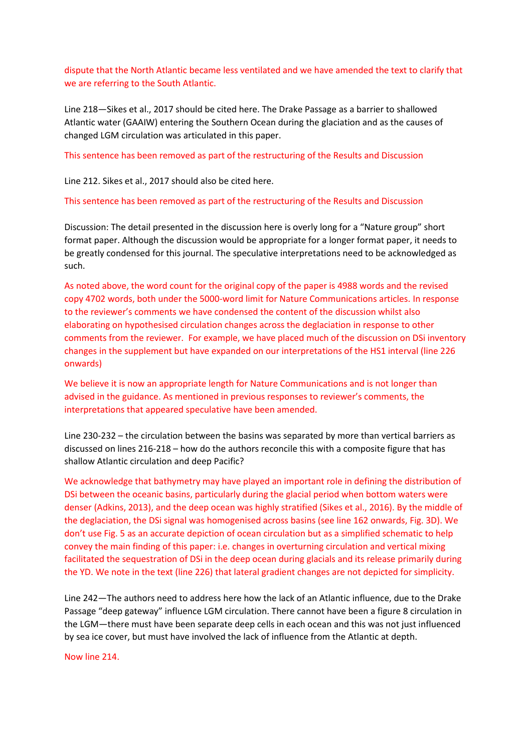dispute that the North Atlantic became less ventilated and we have amended the text to clarify that we are referring to the South Atlantic.

Line 218—Sikes et al., 2017 should be cited here. The Drake Passage as a barrier to shallowed Atlantic water (GAAIW) entering the Southern Ocean during the glaciation and as the causes of changed LGM circulation was articulated in this paper.

This sentence has been removed as part of the restructuring of the Results and Discussion

Line 212. Sikes et al., 2017 should also be cited here.

This sentence has been removed as part of the restructuring of the Results and Discussion

Discussion: The detail presented in the discussion here is overly long for a "Nature group" short format paper. Although the discussion would be appropriate for a longer format paper, it needs to be greatly condensed for this journal. The speculative interpretations need to be acknowledged as such.

As noted above, the word count for the original copy of the paper is 4988 words and the revised copy 4702 words, both under the 5000-word limit for Nature Communications articles. In response to the reviewer's comments we have condensed the content of the discussion whilst also elaborating on hypothesised circulation changes across the deglaciation in response to other comments from the reviewer. For example, we have placed much of the discussion on DSi inventory changes in the supplement but have expanded on our interpretations of the HS1 interval (line 226 onwards)

We believe it is now an appropriate length for Nature Communications and is not longer than advised in the guidance. As mentioned in previous responses to reviewer's comments, the interpretations that appeared speculative have been amended.

Line 230-232 – the circulation between the basins was separated by more than vertical barriers as discussed on lines 216-218 – how do the authors reconcile this with a composite figure that has shallow Atlantic circulation and deep Pacific?

We acknowledge that bathymetry may have played an important role in defining the distribution of DSi between the oceanic basins, particularly during the glacial period when bottom waters were denser (Adkins, 2013), and the deep ocean was highly stratified (Sikes et al., 2016). By the middle of the deglaciation, the DSi signal was homogenised across basins (see line 162 onwards, Fig. 3D). We don't use Fig. 5 as an accurate depiction of ocean circulation but as a simplified schematic to help convey the main finding of this paper: i.e. changes in overturning circulation and vertical mixing facilitated the sequestration of DSi in the deep ocean during glacials and its release primarily during the YD. We note in the text (line 226) that lateral gradient changes are not depicted for simplicity.

Line 242—The authors need to address here how the lack of an Atlantic influence, due to the Drake Passage "deep gateway" influence LGM circulation. There cannot have been a figure 8 circulation in the LGM—there must have been separate deep cells in each ocean and this was not just influenced by sea ice cover, but must have involved the lack of influence from the Atlantic at depth.

Now line 214.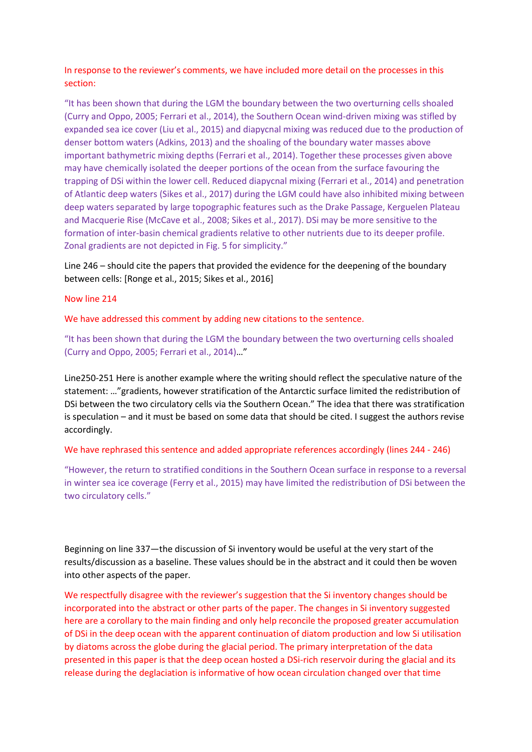In response to the reviewer's comments, we have included more detail on the processes in this section:

"It has been shown that during the LGM the boundary between the two overturning cells shoaled (Curry and Oppo, 2005; Ferrari et al., 2014), the Southern Ocean wind-driven mixing was stifled by expanded sea ice cover (Liu et al., 2015) and diapycnal mixing was reduced due to the production of denser bottom waters (Adkins, 2013) and the shoaling of the boundary water masses above important bathymetric mixing depths (Ferrari et al., 2014). Together these processes given above may have chemically isolated the deeper portions of the ocean from the surface favouring the trapping of DSi within the lower cell. Reduced diapycnal mixing (Ferrari et al., 2014) and penetration of Atlantic deep waters (Sikes et al., 2017) during the LGM could have also inhibited mixing between deep waters separated by large topographic features such as the Drake Passage, Kerguelen Plateau and Macquerie Rise (McCave et al., 2008; Sikes et al., 2017). DSi may be more sensitive to the formation of inter-basin chemical gradients relative to other nutrients due to its deeper profile. Zonal gradients are not depicted in Fig. 5 for simplicity."

Line 246 – should cite the papers that provided the evidence for the deepening of the boundary between cells: [Ronge et al., 2015; Sikes et al., 2016]

### Now line 214

We have addressed this comment by adding new citations to the sentence.

"It has been shown that during the LGM the boundary between the two overturning cells shoaled (Curry and Oppo, 2005; Ferrari et al., 2014)…"

Line250-251 Here is another example where the writing should reflect the speculative nature of the statement: …"gradients, however stratification of the Antarctic surface limited the redistribution of DSi between the two circulatory cells via the Southern Ocean." The idea that there was stratification is speculation – and it must be based on some data that should be cited. I suggest the authors revise accordingly.

We have rephrased this sentence and added appropriate references accordingly (lines 244 - 246)

"However, the return to stratified conditions in the Southern Ocean surface in response to a reversal in winter sea ice coverage (Ferry et al., 2015) may have limited the redistribution of DSi between the two circulatory cells."

Beginning on line 337—the discussion of Si inventory would be useful at the very start of the results/discussion as a baseline. These values should be in the abstract and it could then be woven into other aspects of the paper.

We respectfully disagree with the reviewer's suggestion that the Si inventory changes should be incorporated into the abstract or other parts of the paper. The changes in Si inventory suggested here are a corollary to the main finding and only help reconcile the proposed greater accumulation of DSi in the deep ocean with the apparent continuation of diatom production and low Si utilisation by diatoms across the globe during the glacial period. The primary interpretation of the data presented in this paper is that the deep ocean hosted a DSi-rich reservoir during the glacial and its release during the deglaciation is informative of how ocean circulation changed over that time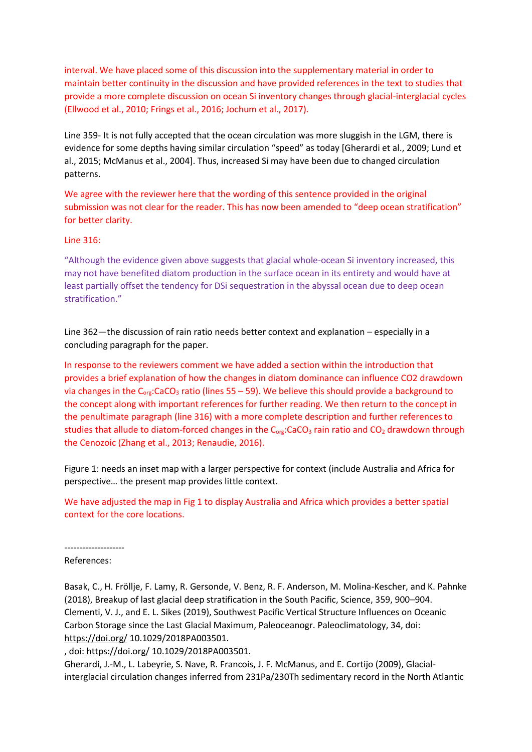interval. We have placed some of this discussion into the supplementary material in order to maintain better continuity in the discussion and have provided references in the text to studies that provide a more complete discussion on ocean Si inventory changes through glacial-interglacial cycles (Ellwood et al., 2010; Frings et al., 2016; Jochum et al., 2017).

Line 359- It is not fully accepted that the ocean circulation was more sluggish in the LGM, there is evidence for some depths having similar circulation "speed" as today [Gherardi et al., 2009; Lund et al., 2015; McManus et al., 2004]. Thus, increased Si may have been due to changed circulation patterns.

We agree with the reviewer here that the wording of this sentence provided in the original submission was not clear for the reader. This has now been amended to "deep ocean stratification" for better clarity.

## Line 316:

"Although the evidence given above suggests that glacial whole-ocean Si inventory increased, this may not have benefited diatom production in the surface ocean in its entirety and would have at least partially offset the tendency for DSi sequestration in the abyssal ocean due to deep ocean stratification."

Line 362—the discussion of rain ratio needs better context and explanation – especially in a concluding paragraph for the paper.

In response to the reviewers comment we have added a section within the introduction that provides a brief explanation of how the changes in diatom dominance can influence CO2 drawdown via changes in the  $C_{org}:CaCO<sub>3</sub>$  ratio (lines 55 – 59). We believe this should provide a background to the concept along with important references for further reading. We then return to the concept in the penultimate paragraph (line 316) with a more complete description and further references to studies that allude to diatom-forced changes in the  $C_{org}: CacO<sub>3</sub>$  rain ratio and  $CO<sub>2</sub>$  drawdown through the Cenozoic (Zhang et al., 2013; Renaudie, 2016).

Figure 1: needs an inset map with a larger perspective for context (include Australia and Africa for perspective… the present map provides little context.

We have adjusted the map in Fig 1 to display Australia and Africa which provides a better spatial context for the core locations.

### -------------------- References:

Basak, C., H. Fröllje, F. Lamy, R. Gersonde, V. Benz, R. F. Anderson, M. Molina-Kescher, and K. Pahnke (2018), Breakup of last glacial deep stratification in the South Pacific, Science, 359, 900–904. Clementi, V. J., and E. L. Sikes (2019), Southwest Pacific Vertical Structure Influences on Oceanic Carbon Storage since the Last Glacial Maximum, Paleoceanogr. Paleoclimatology, 34, doi: [https://doi.org/](https://eur03.safelinks.protection.outlook.com/?url=https%3A%2F%2Fdoi.org%2F&data=01%7C01%7CDumontM%40cardiff.ac.uk%7C2ab49652bc9f4b3c56a808d724958e2c%7Cbdb74b3095684856bdbf06759778fcbc%7C1&sdata=8VR5p0PrBdQJIM2GlcbEjG9mWx9It33jvjvSXqbc8p0%3D&reserved=0) 10.1029/2018PA003501.

, doi: [https://doi.org/](https://eur03.safelinks.protection.outlook.com/?url=https%3A%2F%2Fdoi.org%2F&data=01%7C01%7CDumontM%40cardiff.ac.uk%7C2ab49652bc9f4b3c56a808d724958e2c%7Cbdb74b3095684856bdbf06759778fcbc%7C1&sdata=8VR5p0PrBdQJIM2GlcbEjG9mWx9It33jvjvSXqbc8p0%3D&reserved=0) 10.1029/2018PA003501.

Gherardi, J.-M., L. Labeyrie, S. Nave, R. Francois, J. F. McManus, and E. Cortijo (2009), Glacialinterglacial circulation changes inferred from 231Pa/230Th sedimentary record in the North Atlantic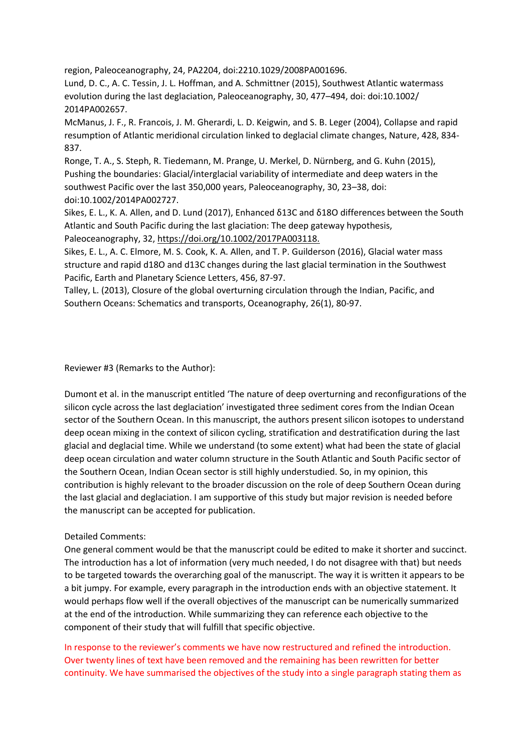region, Paleoceanography, 24, PA2204, doi:2210.1029/2008PA001696.

Lund, D. C., A. C. Tessin, J. L. Hoffman, and A. Schmittner (2015), Southwest Atlantic watermass evolution during the last deglaciation, Paleoceanography, 30, 477–494, doi: doi:10.1002/ 2014PA002657.

McManus, J. F., R. Francois, J. M. Gherardi, L. D. Keigwin, and S. B. Leger (2004), Collapse and rapid resumption of Atlantic meridional circulation linked to deglacial climate changes, Nature, 428, 834- 837.

Ronge, T. A., S. Steph, R. Tiedemann, M. Prange, U. Merkel, D. Nürnberg, and G. Kuhn (2015), Pushing the boundaries: Glacial/interglacial variability of intermediate and deep waters in the southwest Pacific over the last 350,000 years, Paleoceanography, 30, 23–38, doi: doi:10.1002/2014PA002727.

Sikes, E. L., K. A. Allen, and D. Lund (2017), Enhanced δ13C and δ18O differences between the South Atlantic and South Pacific during the last glaciation: The deep gateway hypothesis, Paleoceanography, 32, [https://doi.org/10.1002/2017PA003118.](https://eur03.safelinks.protection.outlook.com/?url=https%3A%2F%2Fdoi.org%2F10.1002%2F2017PA003118.&data=01%7C01%7CDumontM%40cardiff.ac.uk%7C2ab49652bc9f4b3c56a808d724958e2c%7Cbdb74b3095684856bdbf06759778fcbc%7C1&sdata=OpXQ%2BDXpM8qJenrmYhT3HpRr5Bs0QWl1qIfqKcPyGVI%3D&reserved=0)

Sikes, E. L., A. C. Elmore, M. S. Cook, K. A. Allen, and T. P. Guilderson (2016), Glacial water mass structure and rapid d18O and d13C changes during the last glacial termination in the Southwest Pacific, Earth and Planetary Science Letters, 456, 87-97.

Talley, L. (2013), Closure of the global overturning circulation through the Indian, Pacific, and Southern Oceans: Schematics and transports, Oceanography, 26(1), 80-97.

Reviewer #3 (Remarks to the Author):

Dumont et al. in the manuscript entitled 'The nature of deep overturning and reconfigurations of the silicon cycle across the last deglaciation' investigated three sediment cores from the Indian Ocean sector of the Southern Ocean. In this manuscript, the authors present silicon isotopes to understand deep ocean mixing in the context of silicon cycling, stratification and destratification during the last glacial and deglacial time. While we understand (to some extent) what had been the state of glacial deep ocean circulation and water column structure in the South Atlantic and South Pacific sector of the Southern Ocean, Indian Ocean sector is still highly understudied. So, in my opinion, this contribution is highly relevant to the broader discussion on the role of deep Southern Ocean during the last glacial and deglaciation. I am supportive of this study but major revision is needed before the manuscript can be accepted for publication.

# Detailed Comments:

One general comment would be that the manuscript could be edited to make it shorter and succinct. The introduction has a lot of information (very much needed, I do not disagree with that) but needs to be targeted towards the overarching goal of the manuscript. The way it is written it appears to be a bit jumpy. For example, every paragraph in the introduction ends with an objective statement. It would perhaps flow well if the overall objectives of the manuscript can be numerically summarized at the end of the introduction. While summarizing they can reference each objective to the component of their study that will fulfill that specific objective.

In response to the reviewer's comments we have now restructured and refined the introduction. Over twenty lines of text have been removed and the remaining has been rewritten for better continuity. We have summarised the objectives of the study into a single paragraph stating them as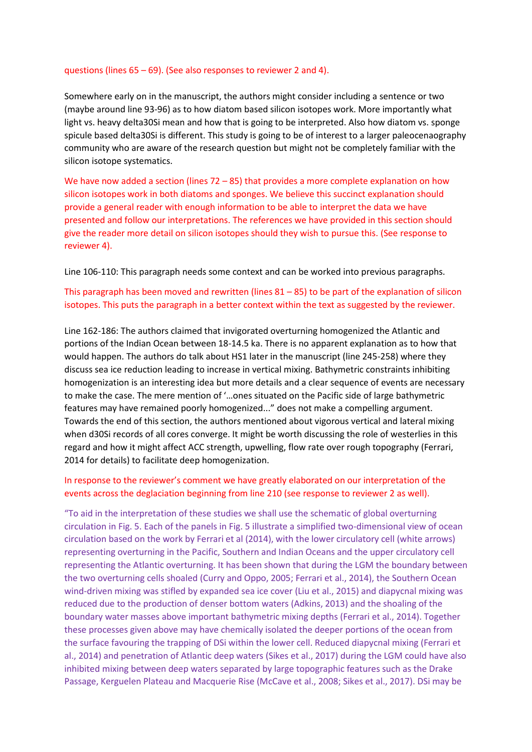### questions (lines 65 – 69). (See also responses to reviewer 2 and 4).

Somewhere early on in the manuscript, the authors might consider including a sentence or two (maybe around line 93-96) as to how diatom based silicon isotopes work. More importantly what light vs. heavy delta30Si mean and how that is going to be interpreted. Also how diatom vs. sponge spicule based delta30Si is different. This study is going to be of interest to a larger paleocenaography community who are aware of the research question but might not be completely familiar with the silicon isotope systematics.

We have now added a section (lines 72 – 85) that provides a more complete explanation on how silicon isotopes work in both diatoms and sponges. We believe this succinct explanation should provide a general reader with enough information to be able to interpret the data we have presented and follow our interpretations. The references we have provided in this section should give the reader more detail on silicon isotopes should they wish to pursue this. (See response to reviewer 4).

Line 106-110: This paragraph needs some context and can be worked into previous paragraphs.

# This paragraph has been moved and rewritten (lines  $81 - 85$ ) to be part of the explanation of silicon isotopes. This puts the paragraph in a better context within the text as suggested by the reviewer.

Line 162-186: The authors claimed that invigorated overturning homogenized the Atlantic and portions of the Indian Ocean between 18-14.5 ka. There is no apparent explanation as to how that would happen. The authors do talk about HS1 later in the manuscript (line 245-258) where they discuss sea ice reduction leading to increase in vertical mixing. Bathymetric constraints inhibiting homogenization is an interesting idea but more details and a clear sequence of events are necessary to make the case. The mere mention of '…ones situated on the Pacific side of large bathymetric features may have remained poorly homogenized..." does not make a compelling argument. Towards the end of this section, the authors mentioned about vigorous vertical and lateral mixing when d30Si records of all cores converge. It might be worth discussing the role of westerlies in this regard and how it might affect ACC strength, upwelling, flow rate over rough topography (Ferrari, 2014 for details) to facilitate deep homogenization.

# In response to the reviewer's comment we have greatly elaborated on our interpretation of the events across the deglaciation beginning from line 210 (see response to reviewer 2 as well).

"To aid in the interpretation of these studies we shall use the schematic of global overturning circulation in Fig. 5. Each of the panels in Fig. 5 illustrate a simplified two-dimensional view of ocean circulation based on the work by Ferrari et al (2014), with the lower circulatory cell (white arrows) representing overturning in the Pacific, Southern and Indian Oceans and the upper circulatory cell representing the Atlantic overturning. It has been shown that during the LGM the boundary between the two overturning cells shoaled (Curry and Oppo, 2005; Ferrari et al., 2014), the Southern Ocean wind-driven mixing was stifled by expanded sea ice cover (Liu et al., 2015) and diapycnal mixing was reduced due to the production of denser bottom waters (Adkins, 2013) and the shoaling of the boundary water masses above important bathymetric mixing depths (Ferrari et al., 2014). Together these processes given above may have chemically isolated the deeper portions of the ocean from the surface favouring the trapping of DSi within the lower cell. Reduced diapycnal mixing (Ferrari et al., 2014) and penetration of Atlantic deep waters (Sikes et al., 2017) during the LGM could have also inhibited mixing between deep waters separated by large topographic features such as the Drake Passage, Kerguelen Plateau and Macquerie Rise (McCave et al., 2008; Sikes et al., 2017). DSi may be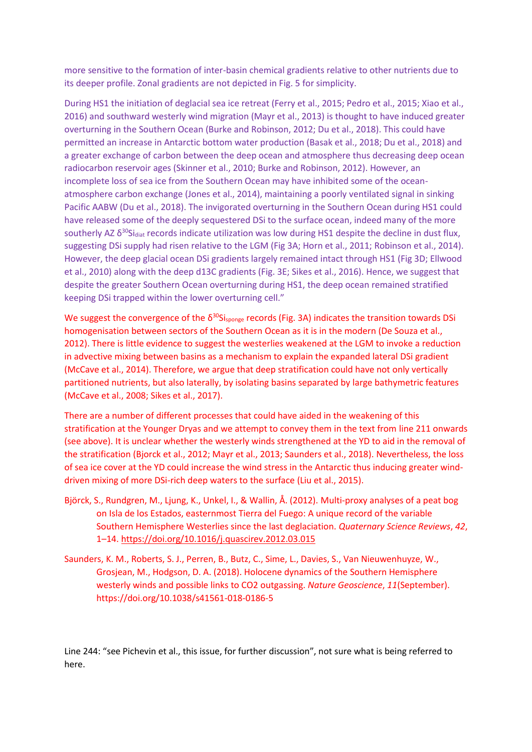more sensitive to the formation of inter-basin chemical gradients relative to other nutrients due to its deeper profile. Zonal gradients are not depicted in Fig. 5 for simplicity.

During HS1 the initiation of deglacial sea ice retreat (Ferry et al., 2015; Pedro et al., 2015; Xiao et al., 2016) and southward westerly wind migration (Mayr et al., 2013) is thought to have induced greater overturning in the Southern Ocean (Burke and Robinson, 2012; Du et al., 2018). This could have permitted an increase in Antarctic bottom water production (Basak et al., 2018; Du et al., 2018) and a greater exchange of carbon between the deep ocean and atmosphere thus decreasing deep ocean radiocarbon reservoir ages (Skinner et al., 2010; Burke and Robinson, 2012). However, an incomplete loss of sea ice from the Southern Ocean may have inhibited some of the oceanatmosphere carbon exchange (Jones et al., 2014), maintaining a poorly ventilated signal in sinking Pacific AABW (Du et al., 2018). The invigorated overturning in the Southern Ocean during HS1 could have released some of the deeply sequestered DSi to the surface ocean, indeed many of the more southerly AZ  $\delta^{30}$ Si<sub>diat</sub> records indicate utilization was low during HS1 despite the decline in dust flux, suggesting DSi supply had risen relative to the LGM (Fig 3A; Horn et al., 2011; Robinson et al., 2014). However, the deep glacial ocean DSi gradients largely remained intact through HS1 (Fig 3D; Ellwood et al., 2010) along with the deep d13C gradients (Fig. 3E; Sikes et al., 2016). Hence, we suggest that despite the greater Southern Ocean overturning during HS1, the deep ocean remained stratified keeping DSi trapped within the lower overturning cell."

We suggest the convergence of the  $\delta^{30}$ Si<sub>sponge</sub> records (Fig. 3A) indicates the transition towards DSi homogenisation between sectors of the Southern Ocean as it is in the modern (De Souza et al., 2012). There is little evidence to suggest the westerlies weakened at the LGM to invoke a reduction in advective mixing between basins as a mechanism to explain the expanded lateral DSi gradient (McCave et al., 2014). Therefore, we argue that deep stratification could have not only vertically partitioned nutrients, but also laterally, by isolating basins separated by large bathymetric features (McCave et al., 2008; Sikes et al., 2017).

There are a number of different processes that could have aided in the weakening of this stratification at the Younger Dryas and we attempt to convey them in the text from line 211 onwards (see above). It is unclear whether the westerly winds strengthened at the YD to aid in the removal of the stratification (Bjorck et al., 2012; Mayr et al., 2013; Saunders et al., 2018). Nevertheless, the loss of sea ice cover at the YD could increase the wind stress in the Antarctic thus inducing greater winddriven mixing of more DSi-rich deep waters to the surface (Liu et al., 2015).

- Björck, S., Rundgren, M., Ljung, K., Unkel, I., & Wallin, Å. (2012). Multi-proxy analyses of a peat bog on Isla de los Estados, easternmost Tierra del Fuego: A unique record of the variable Southern Hemisphere Westerlies since the last deglaciation. *Quaternary Science Reviews*, *42*, 1–14[. https://doi.org/10.1016/j.quascirev.2012.03.015](https://doi.org/10.1016/j.quascirev.2012.03.015)
- Saunders, K. M., Roberts, S. J., Perren, B., Butz, C., Sime, L., Davies, S., Van Nieuwenhuyze, W., Grosjean, M., Hodgson, D. A. (2018). Holocene dynamics of the Southern Hemisphere westerly winds and possible links to CO2 outgassing. *Nature Geoscience*, *11*(September). https://doi.org/10.1038/s41561-018-0186-5

Line 244: "see Pichevin et al., this issue, for further discussion", not sure what is being referred to here.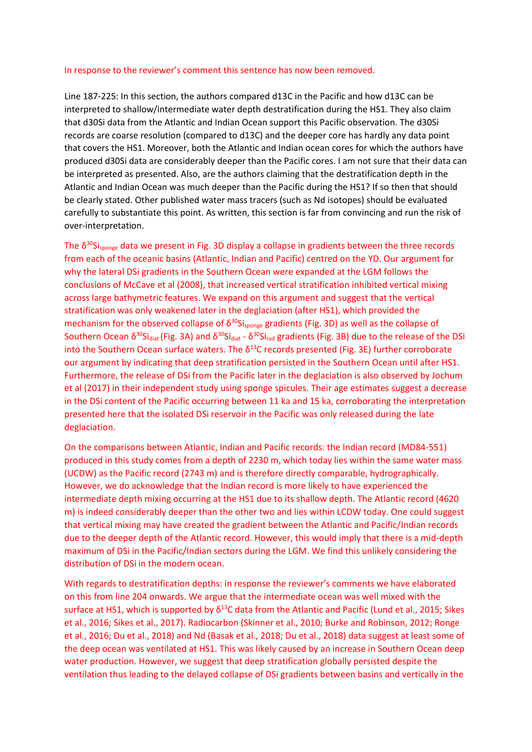## In response to the reviewer's comment this sentence has now been removed.

Line 187-225: In this section, the authors compared d13C in the Pacific and how d13C can be interpreted to shallow/intermediate water depth destratification during the HS1. They also claim that d30Si data from the Atlantic and Indian Ocean support this Pacific observation. The d30Si records are coarse resolution (compared to d13C) and the deeper core has hardly any data point that covers the HS1. Moreover, both the Atlantic and Indian ocean cores for which the authors have produced d30Si data are considerably deeper than the Pacific cores. I am not sure that their data can be interpreted as presented. Also, are the authors claiming that the destratification depth in the Atlantic and Indian Ocean was much deeper than the Pacific during the HS1? If so then that should be clearly stated. Other published water mass tracers (such as Nd isotopes) should be evaluated carefully to substantiate this point. As written, this section is far from convincing and run the risk of over-interpretation.

The  $\delta^{30}$ Si<sub>sponge</sub> data we present in Fig. 3D display a collapse in gradients between the three records from each of the oceanic basins (Atlantic, Indian and Pacific) centred on the YD. Our argument for why the lateral DSi gradients in the Southern Ocean were expanded at the LGM follows the conclusions of McCave et al (2008), that increased vertical stratification inhibited vertical mixing across large bathymetric features. We expand on this argument and suggest that the vertical stratification was only weakened later in the deglaciation (after HS1), which provided the mechanism for the observed collapse of  $\delta^{30}$ Si<sub>sponge</sub> gradients (Fig. 3D) as well as the collapse of Southern Ocean δ<sup>30</sup>Si<sub>diat</sub> (Fig. 3A) and δ<sup>30</sup>Si<sub>diat</sub> - δ<sup>30</sup>Si<sub>rad</sub> gradients (Fig. 3B) due to the release of the DSi into the Southern Ocean surface waters. The  $\delta^{13}$ C records presented (Fig. 3E) further corroborate our argument by indicating that deep stratification persisted in the Southern Ocean until after HS1. Furthermore, the release of DSi from the Pacific later in the deglaciation is also observed by Jochum et al (2017) in their independent study using sponge spicules. Their age estimates suggest a decrease in the DSi content of the Pacific occurring between 11 ka and 15 ka, corroborating the interpretation presented here that the isolated DSi reservoir in the Pacific was only released during the late deglaciation.

On the comparisons between Atlantic, Indian and Pacific records: the Indian record (MD84-551) produced in this study comes from a depth of 2230 m, which today lies within the same water mass (UCDW) as the Pacific record (2743 m) and is therefore directly comparable, hydrographically. However, we do acknowledge that the Indian record is more likely to have experienced the intermediate depth mixing occurring at the HS1 due to its shallow depth. The Atlantic record (4620 m) is indeed considerably deeper than the other two and lies within LCDW today. One could suggest that vertical mixing may have created the gradient between the Atlantic and Pacific/Indian records due to the deeper depth of the Atlantic record. However, this would imply that there is a mid-depth maximum of DSi in the Pacific/Indian sectors during the LGM. We find this unlikely considering the distribution of DSi in the modern ocean.

With regards to destratification depths: in response the reviewer's comments we have elaborated on this from line 204 onwards. We argue that the intermediate ocean was well mixed with the surface at HS1, which is supported by  $\delta^{13}$ C data from the Atlantic and Pacific (Lund et al., 2015; Sikes et al., 2016; Sikes et al., 2017). Radiocarbon (Skinner et al., 2010; Burke and Robinson, 2012; Ronge et al., 2016; Du et al., 2018) and Nd (Basak et al., 2018; Du et al., 2018) data suggest at least some of the deep ocean was ventilated at HS1. This was likely caused by an increase in Southern Ocean deep water production. However, we suggest that deep stratification globally persisted despite the ventilation thus leading to the delayed collapse of DSi gradients between basins and vertically in the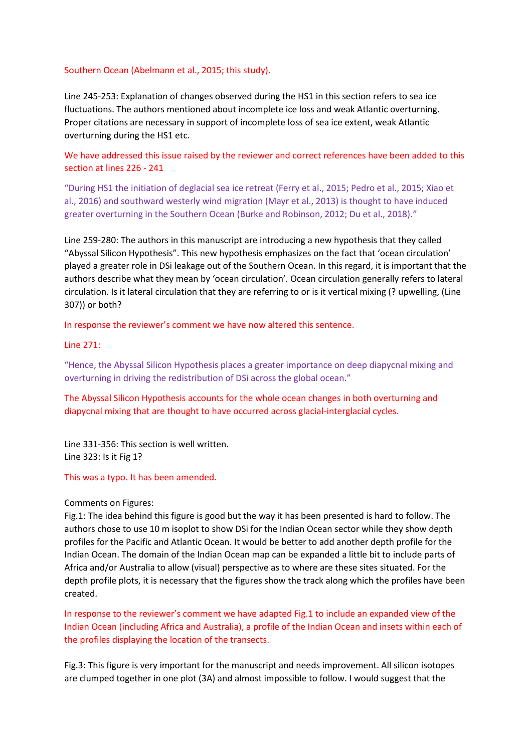### Southern Ocean (Abelmann et al., 2015; this study).

Line 245-253: Explanation of changes observed during the HS1 in this section refers to sea ice fluctuations. The authors mentioned about incomplete ice loss and weak Atlantic overturning. Proper citations are necessary in support of incomplete loss of sea ice extent, weak Atlantic overturning during the HS1 etc.

We have addressed this issue raised by the reviewer and correct references have been added to this section at lines 226 - 241

"During HS1 the initiation of deglacial sea ice retreat (Ferry et al., 2015; Pedro et al., 2015; Xiao et al., 2016) and southward westerly wind migration (Mayr et al., 2013) is thought to have induced greater overturning in the Southern Ocean (Burke and Robinson, 2012; Du et al., 2018)."

Line 259-280: The authors in this manuscript are introducing a new hypothesis that they called "Abyssal Silicon Hypothesis". This new hypothesis emphasizes on the fact that 'ocean circulation' played a greater role in DSi leakage out of the Southern Ocean. In this regard, it is important that the authors describe what they mean by 'ocean circulation'. Ocean circulation generally refers to lateral circulation. Is it lateral circulation that they are referring to or is it vertical mixing (? upwelling, (Line 307)) or both?

In response the reviewer's comment we have now altered this sentence.

### Line 271:

"Hence, the Abyssal Silicon Hypothesis places a greater importance on deep diapycnal mixing and overturning in driving the redistribution of DSi across the global ocean."

The Abyssal Silicon Hypothesis accounts for the whole ocean changes in both overturning and diapycnal mixing that are thought to have occurred across glacial-interglacial cycles.

Line 331-356: This section is well written. Line 323: Is it Fig 1?

### This was a typo. It has been amended.

### Comments on Figures:

Fig.1: The idea behind this figure is good but the way it has been presented is hard to follow. The authors chose to use 10 m isoplot to show DSi for the Indian Ocean sector while they show depth profiles for the Pacific and Atlantic Ocean. It would be better to add another depth profile for the Indian Ocean. The domain of the Indian Ocean map can be expanded a little bit to include parts of Africa and/or Australia to allow (visual) perspective as to where are these sites situated. For the depth profile plots, it is necessary that the figures show the track along which the profiles have been created.

In response to the reviewer's comment we have adapted Fig.1 to include an expanded view of the Indian Ocean (including Africa and Australia), a profile of the Indian Ocean and insets within each of the profiles displaying the location of the transects.

Fig.3: This figure is very important for the manuscript and needs improvement. All silicon isotopes are clumped together in one plot (3A) and almost impossible to follow. I would suggest that the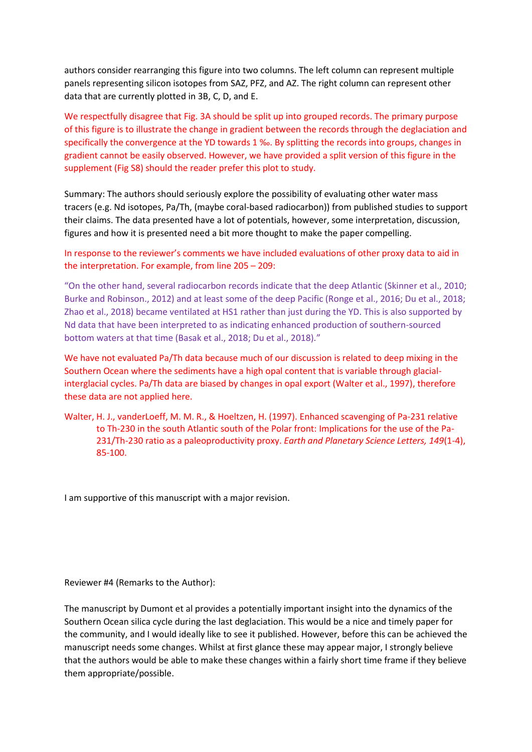authors consider rearranging this figure into two columns. The left column can represent multiple panels representing silicon isotopes from SAZ, PFZ, and AZ. The right column can represent other data that are currently plotted in 3B, C, D, and E.

We respectfully disagree that Fig. 3A should be split up into grouped records. The primary purpose of this figure is to illustrate the change in gradient between the records through the deglaciation and specifically the convergence at the YD towards 1 ‰. By splitting the records into groups, changes in gradient cannot be easily observed. However, we have provided a split version of this figure in the supplement (Fig S8) should the reader prefer this plot to study.

Summary: The authors should seriously explore the possibility of evaluating other water mass tracers (e.g. Nd isotopes, Pa/Th, (maybe coral-based radiocarbon)) from published studies to support their claims. The data presented have a lot of potentials, however, some interpretation, discussion, figures and how it is presented need a bit more thought to make the paper compelling.

In response to the reviewer's comments we have included evaluations of other proxy data to aid in the interpretation. For example, from line 205 – 209:

"On the other hand, several radiocarbon records indicate that the deep Atlantic (Skinner et al., 2010; Burke and Robinson., 2012) and at least some of the deep Pacific (Ronge et al., 2016; Du et al., 2018; Zhao et al., 2018) became ventilated at HS1 rather than just during the YD. This is also supported by Nd data that have been interpreted to as indicating enhanced production of southern-sourced bottom waters at that time (Basak et al., 2018; Du et al., 2018)."

We have not evaluated Pa/Th data because much of our discussion is related to deep mixing in the Southern Ocean where the sediments have a high opal content that is variable through glacialinterglacial cycles. Pa/Th data are biased by changes in opal export (Walter et al., 1997), therefore these data are not applied here.

Walter, H. J., vanderLoeff, M. M. R., & Hoeltzen, H. (1997). Enhanced scavenging of Pa-231 relative to Th-230 in the south Atlantic south of the Polar front: Implications for the use of the Pa-231/Th-230 ratio as a paleoproductivity proxy. *Earth and Planetary Science Letters, 149*(1-4), 85-100.

I am supportive of this manuscript with a major revision.

Reviewer #4 (Remarks to the Author):

The manuscript by Dumont et al provides a potentially important insight into the dynamics of the Southern Ocean silica cycle during the last deglaciation. This would be a nice and timely paper for the community, and I would ideally like to see it published. However, before this can be achieved the manuscript needs some changes. Whilst at first glance these may appear major, I strongly believe that the authors would be able to make these changes within a fairly short time frame if they believe them appropriate/possible.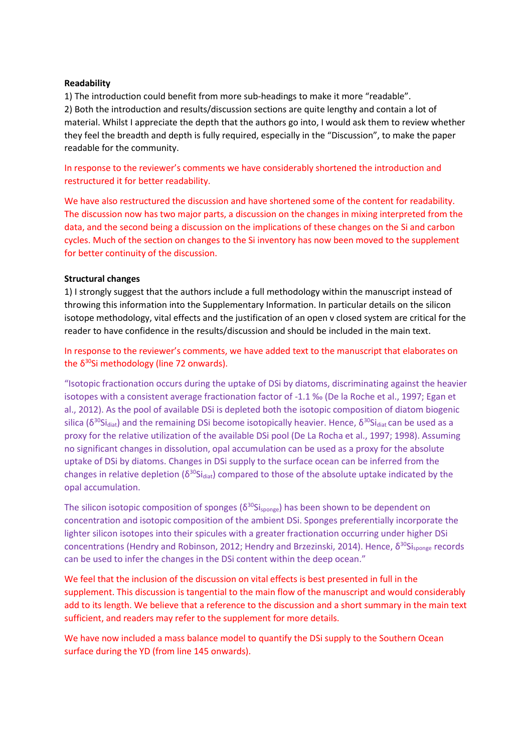## **Readability**

1) The introduction could benefit from more sub-headings to make it more "readable". 2) Both the introduction and results/discussion sections are quite lengthy and contain a lot of material. Whilst I appreciate the depth that the authors go into, I would ask them to review whether they feel the breadth and depth is fully required, especially in the "Discussion", to make the paper readable for the community.

In response to the reviewer's comments we have considerably shortened the introduction and restructured it for better readability.

We have also restructured the discussion and have shortened some of the content for readability. The discussion now has two major parts, a discussion on the changes in mixing interpreted from the data, and the second being a discussion on the implications of these changes on the Si and carbon cycles. Much of the section on changes to the Si inventory has now been moved to the supplement for better continuity of the discussion.

### **Structural changes**

1) I strongly suggest that the authors include a full methodology within the manuscript instead of throwing this information into the Supplementary Information. In particular details on the silicon isotope methodology, vital effects and the justification of an open v closed system are critical for the reader to have confidence in the results/discussion and should be included in the main text.

In response to the reviewer's comments, we have added text to the manuscript that elaborates on the  $\delta^{30}$ Si methodology (line 72 onwards).

"Isotopic fractionation occurs during the uptake of DSi by diatoms, discriminating against the heavier isotopes with a consistent average fractionation factor of -1.1 ‰ (De la Roche et al., 1997; Egan et al., 2012). As the pool of available DSi is depleted both the isotopic composition of diatom biogenic silica (δ<sup>30</sup>Si<sub>diat</sub>) and the remaining DSi become isotopically heavier. Hence, δ<sup>30</sup>Si<sub>diat</sub> can be used as a proxy for the relative utilization of the available DSi pool (De La Rocha et al., 1997; 1998). Assuming no significant changes in dissolution, opal accumulation can be used as a proxy for the absolute uptake of DSi by diatoms. Changes in DSi supply to the surface ocean can be inferred from the changes in relative depletion ( $\delta^{30}$ Si<sub>diat</sub>) compared to those of the absolute uptake indicated by the opal accumulation.

The silicon isotopic composition of sponges ( $\delta^{30}$ Si<sub>sponge</sub>) has been shown to be dependent on concentration and isotopic composition of the ambient DSi. Sponges preferentially incorporate the lighter silicon isotopes into their spicules with a greater fractionation occurring under higher DSi concentrations (Hendry and Robinson, 2012; Hendry and Brzezinski, 2014). Hence, δ<sup>30</sup>Si<sub>sponge</sub> records can be used to infer the changes in the DSi content within the deep ocean."

We feel that the inclusion of the discussion on vital effects is best presented in full in the supplement. This discussion is tangential to the main flow of the manuscript and would considerably add to its length. We believe that a reference to the discussion and a short summary in the main text sufficient, and readers may refer to the supplement for more details.

We have now included a mass balance model to quantify the DSi supply to the Southern Ocean surface during the YD (from line 145 onwards).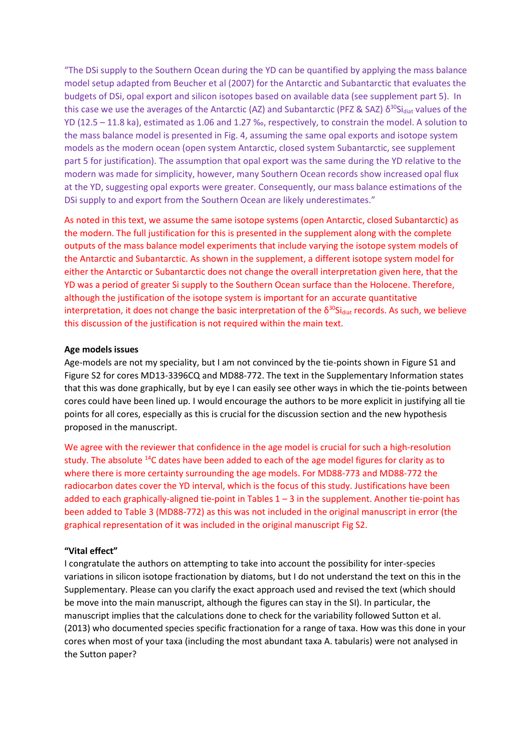"The DSi supply to the Southern Ocean during the YD can be quantified by applying the mass balance model setup adapted from Beucher et al (2007) for the Antarctic and Subantarctic that evaluates the budgets of DSi, opal export and silicon isotopes based on available data (see supplement part 5). In this case we use the averages of the Antarctic (AZ) and Subantarctic (PFZ & SAZ)  $\delta^{30}$ Si<sub>diat</sub> values of the YD (12.5 – 11.8 ka), estimated as 1.06 and 1.27 ‰, respectively, to constrain the model. A solution to the mass balance model is presented in Fig. 4, assuming the same opal exports and isotope system models as the modern ocean (open system Antarctic, closed system Subantarctic, see supplement part 5 for justification). The assumption that opal export was the same during the YD relative to the modern was made for simplicity, however, many Southern Ocean records show increased opal flux at the YD, suggesting opal exports were greater. Consequently, our mass balance estimations of the DSi supply to and export from the Southern Ocean are likely underestimates."

As noted in this text, we assume the same isotope systems (open Antarctic, closed Subantarctic) as the modern. The full justification for this is presented in the supplement along with the complete outputs of the mass balance model experiments that include varying the isotope system models of the Antarctic and Subantarctic. As shown in the supplement, a different isotope system model for either the Antarctic or Subantarctic does not change the overall interpretation given here, that the YD was a period of greater Si supply to the Southern Ocean surface than the Holocene. Therefore, although the justification of the isotope system is important for an accurate quantitative interpretation, it does not change the basic interpretation of the δ<sup>30</sup>Si<sub>diat</sub> records. As such, we believe this discussion of the justification is not required within the main text.

### **Age models issues**

Age-models are not my speciality, but I am not convinced by the tie-points shown in Figure S1 and Figure S2 for cores MD13-3396CQ and MD88-772. The text in the Supplementary Information states that this was done graphically, but by eye I can easily see other ways in which the tie-points between cores could have been lined up. I would encourage the authors to be more explicit in justifying all tie points for all cores, especially as this is crucial for the discussion section and the new hypothesis proposed in the manuscript.

We agree with the reviewer that confidence in the age model is crucial for such a high-resolution study. The absolute <sup>14</sup>C dates have been added to each of the age model figures for clarity as to where there is more certainty surrounding the age models. For MD88-773 and MD88-772 the radiocarbon dates cover the YD interval, which is the focus of this study. Justifications have been added to each graphically-aligned tie-point in Tables 1 – 3 in the supplement. Another tie-point has been added to Table 3 (MD88-772) as this was not included in the original manuscript in error (the graphical representation of it was included in the original manuscript Fig S2.

### **"Vital effect"**

I congratulate the authors on attempting to take into account the possibility for inter-species variations in silicon isotope fractionation by diatoms, but I do not understand the text on this in the Supplementary. Please can you clarify the exact approach used and revised the text (which should be move into the main manuscript, although the figures can stay in the SI). In particular, the manuscript implies that the calculations done to check for the variability followed Sutton et al. (2013) who documented species specific fractionation for a range of taxa. How was this done in your cores when most of your taxa (including the most abundant taxa A. tabularis) were not analysed in the Sutton paper?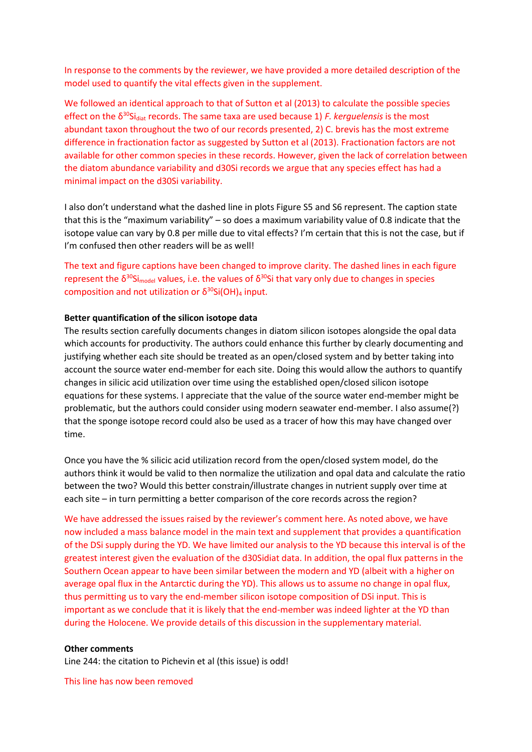In response to the comments by the reviewer, we have provided a more detailed description of the model used to quantify the vital effects given in the supplement.

We followed an identical approach to that of Sutton et al (2013) to calculate the possible species effect on the δ<sup>30</sup>Si<sub>diat</sub> records. The same taxa are used because 1) *F. kerguelensis* is the most abundant taxon throughout the two of our records presented, 2) C. brevis has the most extreme difference in fractionation factor as suggested by Sutton et al (2013). Fractionation factors are not available for other common species in these records. However, given the lack of correlation between the diatom abundance variability and d30Si records we argue that any species effect has had a minimal impact on the d30Si variability.

I also don't understand what the dashed line in plots Figure S5 and S6 represent. The caption state that this is the "maximum variability" – so does a maximum variability value of 0.8 indicate that the isotope value can vary by 0.8 per mille due to vital effects? I'm certain that this is not the case, but if I'm confused then other readers will be as well!

The text and figure captions have been changed to improve clarity. The dashed lines in each figure represent the  $\delta^{30}$ Si<sub>model</sub> values, i.e. the values of  $\delta^{30}$ Si that vary only due to changes in species composition and not utilization or  $δ<sup>30</sup>Si(OH)<sub>4</sub>$  input.

### **Better quantification of the silicon isotope data**

The results section carefully documents changes in diatom silicon isotopes alongside the opal data which accounts for productivity. The authors could enhance this further by clearly documenting and justifying whether each site should be treated as an open/closed system and by better taking into account the source water end-member for each site. Doing this would allow the authors to quantify changes in silicic acid utilization over time using the established open/closed silicon isotope equations for these systems. I appreciate that the value of the source water end-member might be problematic, but the authors could consider using modern seawater end-member. I also assume(?) that the sponge isotope record could also be used as a tracer of how this may have changed over time.

Once you have the % silicic acid utilization record from the open/closed system model, do the authors think it would be valid to then normalize the utilization and opal data and calculate the ratio between the two? Would this better constrain/illustrate changes in nutrient supply over time at each site – in turn permitting a better comparison of the core records across the region?

We have addressed the issues raised by the reviewer's comment here. As noted above, we have now included a mass balance model in the main text and supplement that provides a quantification of the DSi supply during the YD. We have limited our analysis to the YD because this interval is of the greatest interest given the evaluation of the d30Sidiat data. In addition, the opal flux patterns in the Southern Ocean appear to have been similar between the modern and YD (albeit with a higher on average opal flux in the Antarctic during the YD). This allows us to assume no change in opal flux, thus permitting us to vary the end-member silicon isotope composition of DSi input. This is important as we conclude that it is likely that the end-member was indeed lighter at the YD than during the Holocene. We provide details of this discussion in the supplementary material.

### **Other comments**

Line 244: the citation to Pichevin et al (this issue) is odd!

This line has now been removed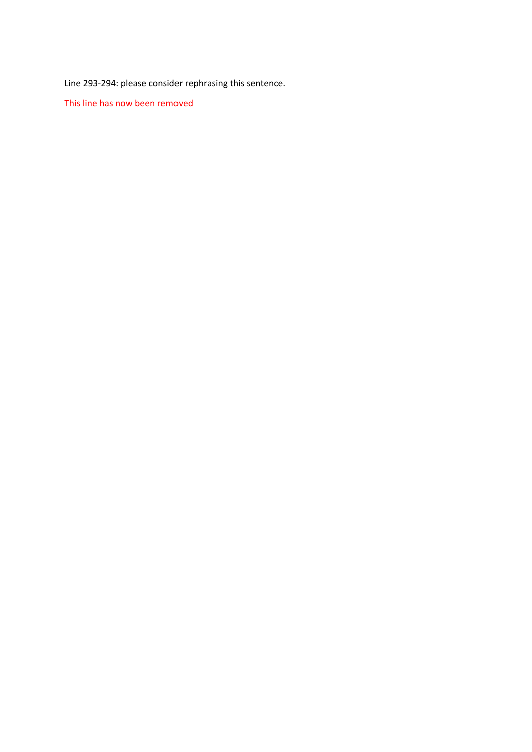Line 293-294: please consider rephrasing this sentence.

This line has now been removed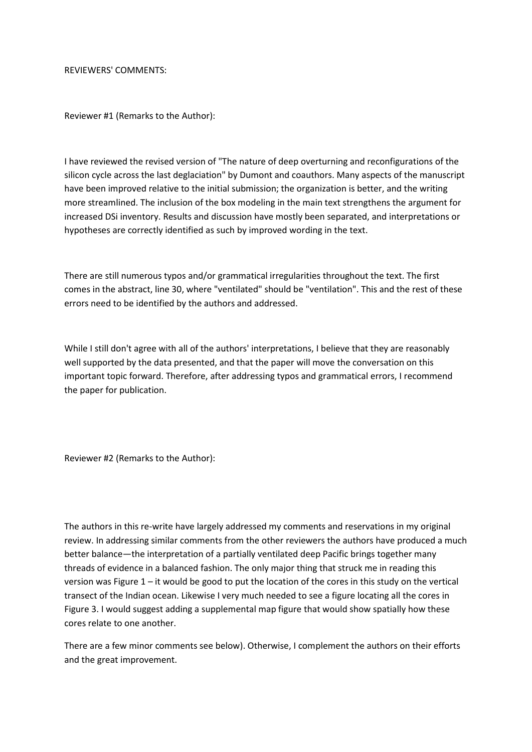REVIEWERS' COMMENTS:

Reviewer #1 (Remarks to the Author):

I have reviewed the revised version of "The nature of deep overturning and reconfigurations of the silicon cycle across the last deglaciation" by Dumont and coauthors. Many aspects of the manuscript have been improved relative to the initial submission; the organization is better, and the writing more streamlined. The inclusion of the box modeling in the main text strengthens the argument for increased DSi inventory. Results and discussion have mostly been separated, and interpretations or hypotheses are correctly identified as such by improved wording in the text.

There are still numerous typos and/or grammatical irregularities throughout the text. The first comes in the abstract, line 30, where "ventilated" should be "ventilation". This and the rest of these errors need to be identified by the authors and addressed.

While I still don't agree with all of the authors' interpretations, I believe that they are reasonably well supported by the data presented, and that the paper will move the conversation on this important topic forward. Therefore, after addressing typos and grammatical errors, I recommend the paper for publication.

Reviewer #2 (Remarks to the Author):

The authors in this re-write have largely addressed my comments and reservations in my original review. In addressing similar comments from the other reviewers the authors have produced a much better balance—the interpretation of a partially ventilated deep Pacific brings together many threads of evidence in a balanced fashion. The only major thing that struck me in reading this version was Figure  $1$  – it would be good to put the location of the cores in this study on the vertical transect of the Indian ocean. Likewise I very much needed to see a figure locating all the cores in Figure 3. I would suggest adding a supplemental map figure that would show spatially how these cores relate to one another.

There are a few minor comments see below). Otherwise, I complement the authors on their efforts and the great improvement.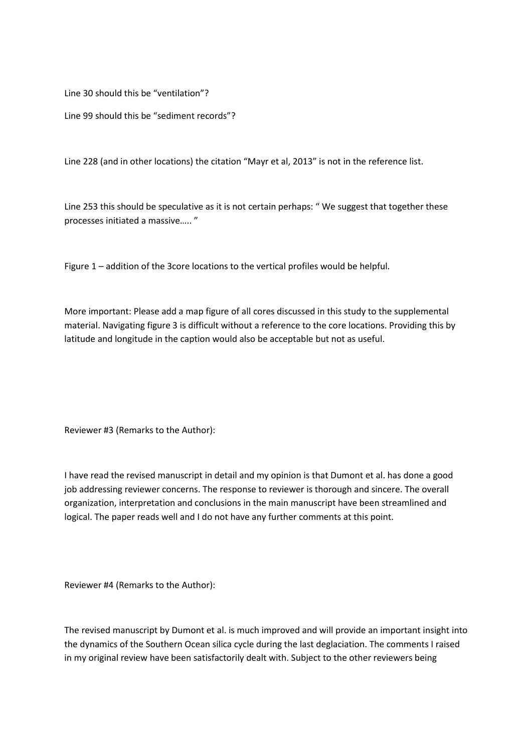Line 30 should this be "ventilation"?

Line 99 should this be "sediment records"?

Line 228 (and in other locations) the citation "Mayr et al, 2013" is not in the reference list.

Line 253 this should be speculative as it is not certain perhaps: " We suggest that together these processes initiated a massive….. "

Figure 1 – addition of the 3core locations to the vertical profiles would be helpful.

More important: Please add a map figure of all cores discussed in this study to the supplemental material. Navigating figure 3 is difficult without a reference to the core locations. Providing this by latitude and longitude in the caption would also be acceptable but not as useful.

Reviewer #3 (Remarks to the Author):

I have read the revised manuscript in detail and my opinion is that Dumont et al. has done a good job addressing reviewer concerns. The response to reviewer is thorough and sincere. The overall organization, interpretation and conclusions in the main manuscript have been streamlined and logical. The paper reads well and I do not have any further comments at this point.

Reviewer #4 (Remarks to the Author):

The revised manuscript by Dumont et al. is much improved and will provide an important insight into the dynamics of the Southern Ocean silica cycle during the last deglaciation. The comments I raised in my original review have been satisfactorily dealt with. Subject to the other reviewers being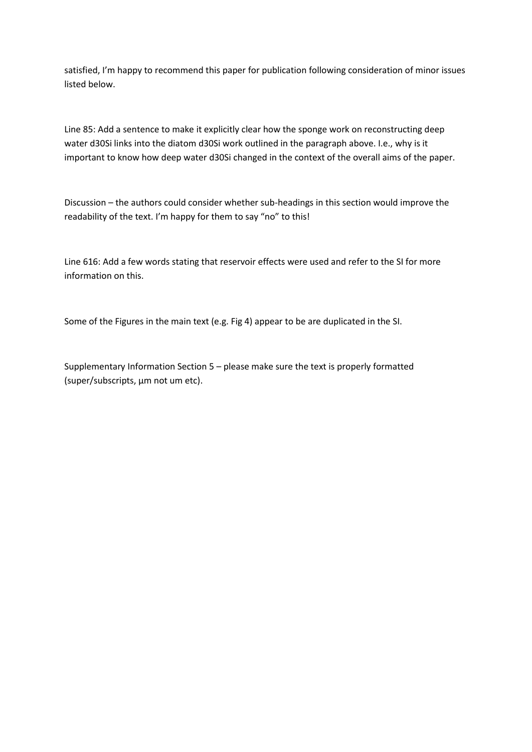satisfied, I'm happy to recommend this paper for publication following consideration of minor issues listed below.

Line 85: Add a sentence to make it explicitly clear how the sponge work on reconstructing deep water d30Si links into the diatom d30Si work outlined in the paragraph above. I.e., why is it important to know how deep water d30Si changed in the context of the overall aims of the paper.

Discussion – the authors could consider whether sub-headings in this section would improve the readability of the text. I'm happy for them to say "no" to this!

Line 616: Add a few words stating that reservoir effects were used and refer to the SI for more information on this.

Some of the Figures in the main text (e.g. Fig 4) appear to be are duplicated in the SI.

Supplementary Information Section 5 – please make sure the text is properly formatted (super/subscripts, μm not um etc).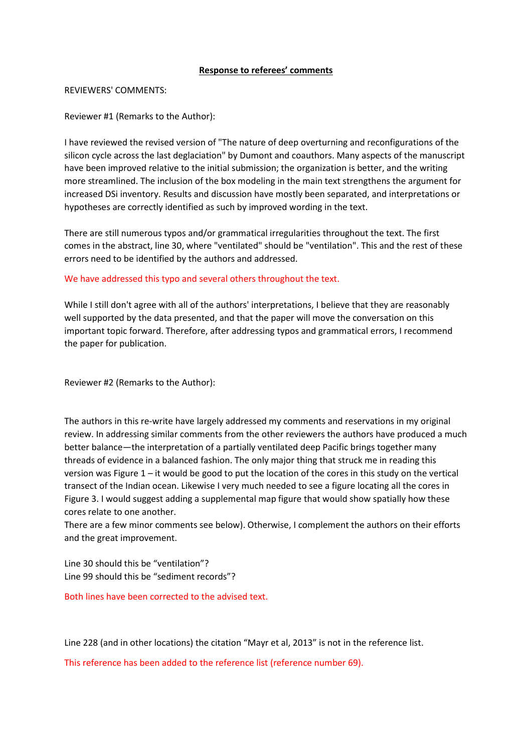## **Response to referees' comments**

### REVIEWERS' COMMENTS:

Reviewer #1 (Remarks to the Author):

I have reviewed the revised version of "The nature of deep overturning and reconfigurations of the silicon cycle across the last deglaciation" by Dumont and coauthors. Many aspects of the manuscript have been improved relative to the initial submission; the organization is better, and the writing more streamlined. The inclusion of the box modeling in the main text strengthens the argument for increased DSi inventory. Results and discussion have mostly been separated, and interpretations or hypotheses are correctly identified as such by improved wording in the text.

There are still numerous typos and/or grammatical irregularities throughout the text. The first comes in the abstract, line 30, where "ventilated" should be "ventilation". This and the rest of these errors need to be identified by the authors and addressed.

We have addressed this typo and several others throughout the text.

While I still don't agree with all of the authors' interpretations, I believe that they are reasonably well supported by the data presented, and that the paper will move the conversation on this important topic forward. Therefore, after addressing typos and grammatical errors, I recommend the paper for publication.

Reviewer #2 (Remarks to the Author):

The authors in this re-write have largely addressed my comments and reservations in my original review. In addressing similar comments from the other reviewers the authors have produced a much better balance—the interpretation of a partially ventilated deep Pacific brings together many threads of evidence in a balanced fashion. The only major thing that struck me in reading this version was Figure 1 – it would be good to put the location of the cores in this study on the vertical transect of the Indian ocean. Likewise I very much needed to see a figure locating all the cores in Figure 3. I would suggest adding a supplemental map figure that would show spatially how these cores relate to one another.

There are a few minor comments see below). Otherwise, I complement the authors on their efforts and the great improvement.

Line 30 should this be "ventilation"? Line 99 should this be "sediment records"?

Both lines have been corrected to the advised text.

Line 228 (and in other locations) the citation "Mayr et al, 2013" is not in the reference list.

This reference has been added to the reference list (reference number 69).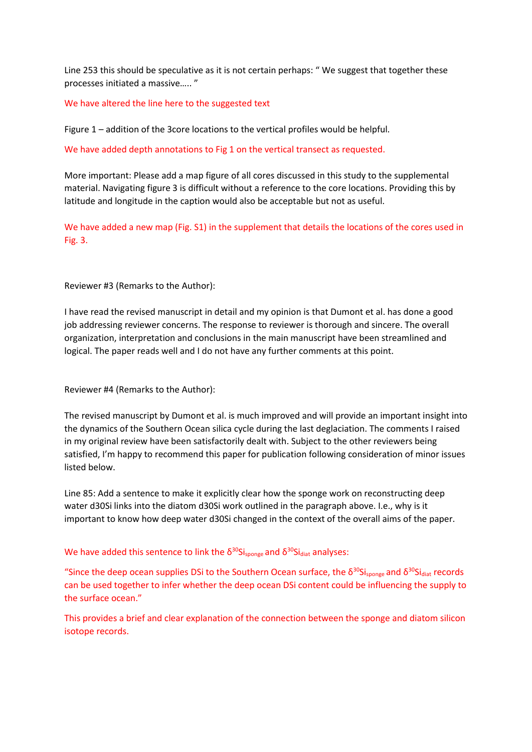Line 253 this should be speculative as it is not certain perhaps: " We suggest that together these processes initiated a massive….. "

We have altered the line here to the suggested text

Figure 1 – addition of the 3core locations to the vertical profiles would be helpful.

We have added depth annotations to Fig 1 on the vertical transect as requested.

More important: Please add a map figure of all cores discussed in this study to the supplemental material. Navigating figure 3 is difficult without a reference to the core locations. Providing this by latitude and longitude in the caption would also be acceptable but not as useful.

We have added a new map (Fig. S1) in the supplement that details the locations of the cores used in Fig. 3.

Reviewer #3 (Remarks to the Author):

I have read the revised manuscript in detail and my opinion is that Dumont et al. has done a good job addressing reviewer concerns. The response to reviewer is thorough and sincere. The overall organization, interpretation and conclusions in the main manuscript have been streamlined and logical. The paper reads well and I do not have any further comments at this point.

Reviewer #4 (Remarks to the Author):

The revised manuscript by Dumont et al. is much improved and will provide an important insight into the dynamics of the Southern Ocean silica cycle during the last deglaciation. The comments I raised in my original review have been satisfactorily dealt with. Subject to the other reviewers being satisfied, I'm happy to recommend this paper for publication following consideration of minor issues listed below.

Line 85: Add a sentence to make it explicitly clear how the sponge work on reconstructing deep water d30Si links into the diatom d30Si work outlined in the paragraph above. I.e., why is it important to know how deep water d30Si changed in the context of the overall aims of the paper.

We have added this sentence to link the  $\delta^{30}$ Si<sub>sponge</sub> and  $\delta^{30}$ Si<sub>diat</sub> analyses:

"Since the deep ocean supplies DSi to the Southern Ocean surface, the  $\delta^{30}$ Si<sub>sponge</sub> and  $\delta^{30}$ Si<sub>diat</sub> records can be used together to infer whether the deep ocean DSi content could be influencing the supply to the surface ocean."

This provides a brief and clear explanation of the connection between the sponge and diatom silicon isotope records.